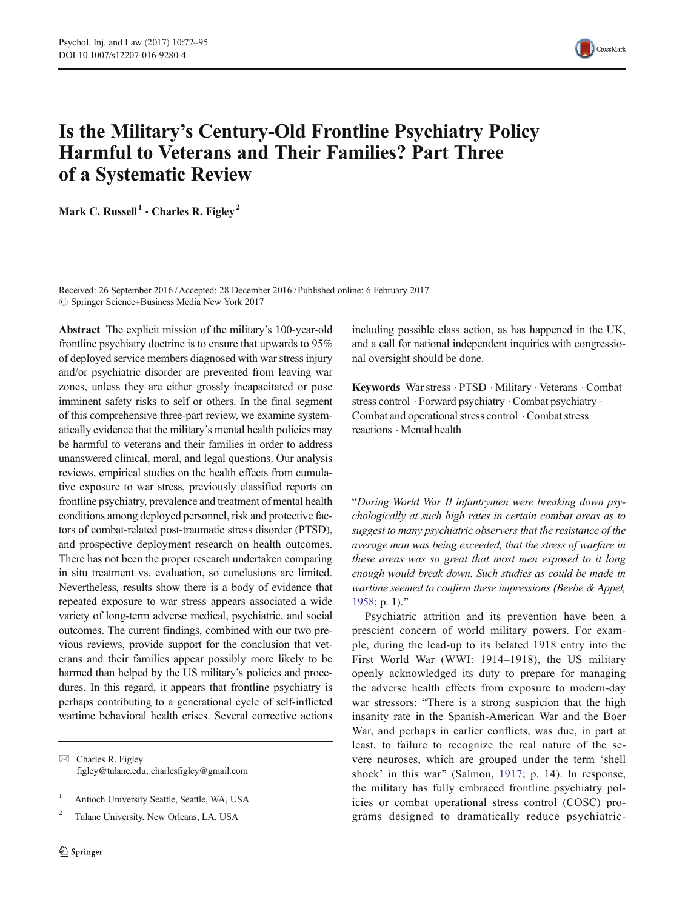

# Is the Military's Century-Old Frontline Psychiatry Policy Harmful to Veterans and Their Families? Part Three of a Systematic Review

Mark C. Russell<sup>1</sup>  $\cdot$  Charles R. Figley<sup>2</sup>

Received: 26 September 2016 /Accepted: 28 December 2016 /Published online: 6 February 2017  $\circled{c}$  Springer Science+Business Media New York 2017

Abstract The explicit mission of the military's 100-year-old frontline psychiatry doctrine is to ensure that upwards to 95% of deployed service members diagnosed with war stress injury and/or psychiatric disorder are prevented from leaving war zones, unless they are either grossly incapacitated or pose imminent safety risks to self or others. In the final segment of this comprehensive three-part review, we examine systematically evidence that the military's mental health policies may be harmful to veterans and their families in order to address unanswered clinical, moral, and legal questions. Our analysis reviews, empirical studies on the health effects from cumulative exposure to war stress, previously classified reports on frontline psychiatry, prevalence and treatment of mental health conditions among deployed personnel, risk and protective factors of combat-related post-traumatic stress disorder (PTSD), and prospective deployment research on health outcomes. There has not been the proper research undertaken comparing in situ treatment vs. evaluation, so conclusions are limited. Nevertheless, results show there is a body of evidence that repeated exposure to war stress appears associated a wide variety of long-term adverse medical, psychiatric, and social outcomes. The current findings, combined with our two previous reviews, provide support for the conclusion that veterans and their families appear possibly more likely to be harmed than helped by the US military's policies and procedures. In this regard, it appears that frontline psychiatry is perhaps contributing to a generational cycle of self-inflicted wartime behavioral health crises. Several corrective actions

- <sup>1</sup> Antioch University Seattle, Seattle, WA, USA
- <sup>2</sup> Tulane University, New Orleans, LA, USA

including possible class action, as has happened in the UK, and a call for national independent inquiries with congressional oversight should be done.

Keywords War stress . PTSD . Military . Veterans . Combat stress control . Forward psychiatry . Combat psychiatry . Combat and operational stress control . Combat stress reactions . Mental health

"During World War II infantrymen were breaking down psychologically at such high rates in certain combat areas as to suggest to many psychiatric observers that the resistance of the average man was being exceeded, that the stress of warfare in these areas was so great that most men exposed to it long enough would break down. Such studies as could be made in wartime seemed to confirm these impressions (Beebe & Appel, [1958](#page-20-0); p. 1)."

Psychiatric attrition and its prevention have been a prescient concern of world military powers. For example, during the lead-up to its belated 1918 entry into the First World War (WWI: 1914–1918), the US military openly acknowledged its duty to prepare for managing the adverse health effects from exposure to modern-day war stressors: "There is a strong suspicion that the high insanity rate in the Spanish-American War and the Boer War, and perhaps in earlier conflicts, was due, in part at least, to failure to recognize the real nature of the severe neuroses, which are grouped under the term 'shell shock' in this war" (Salmon, [1917](#page-23-0); p. 14). In response, the military has fully embraced frontline psychiatry policies or combat operational stress control (COSC) programs designed to dramatically reduce psychiatric-

 $\boxtimes$  Charles R. Figley figley@tulane.edu; charlesfigley@gmail.com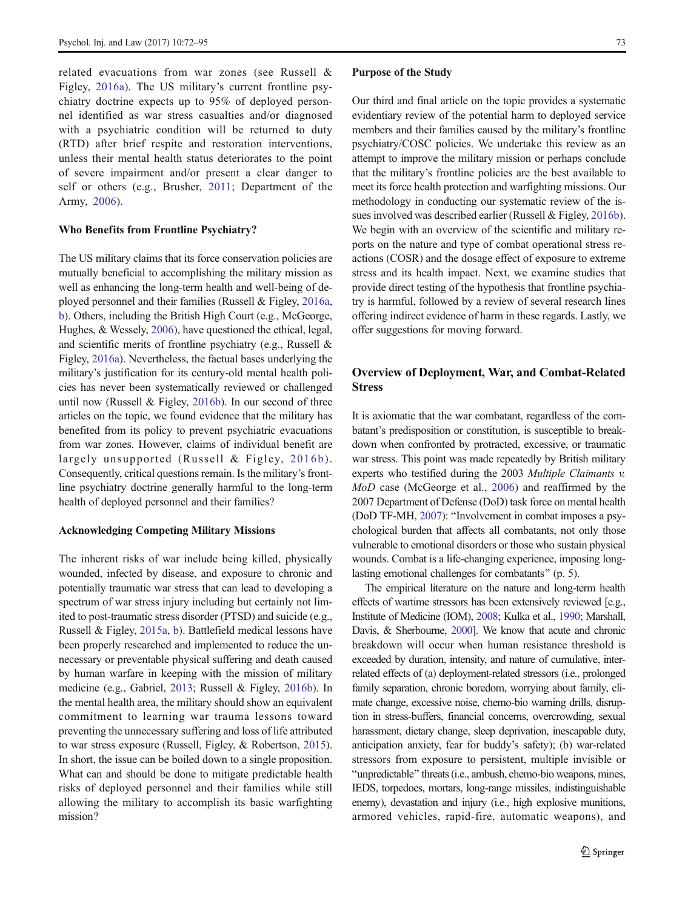related evacuations from war zones (see Russell & Figley, [2016a](#page-22-0)). The US military's current frontline psychiatry doctrine expects up to 95% of deployed personnel identified as war stress casualties and/or diagnosed with a psychiatric condition will be returned to duty (RTD) after brief respite and restoration interventions, unless their mental health status deteriorates to the point of severe impairment and/or present a clear danger to self or others (e.g., Brusher, [2011](#page-20-0); Department of the Army, [2006](#page-21-0)).

### Who Benefits from Frontline Psychiatry?

The US military claims that its force conservation policies are mutually beneficial to accomplishing the military mission as well as enhancing the long-term health and well-being of deployed personnel and their families (Russell & Figley, [2016a,](#page-22-0) [b\)](#page-22-0). Others, including the British High Court (e.g., McGeorge, Hughes, & Wessely, [2006](#page-22-0)), have questioned the ethical, legal, and scientific merits of frontline psychiatry (e.g., Russell & Figley, [2016a\)](#page-22-0). Nevertheless, the factual bases underlying the military's justification for its century-old mental health policies has never been systematically reviewed or challenged until now (Russell & Figley, [2016b\)](#page-22-0). In our second of three articles on the topic, we found evidence that the military has benefited from its policy to prevent psychiatric evacuations from war zones. However, claims of individual benefit are largely unsupported (Russell & Figley, [2016b](#page-22-0)). Consequently, critical questions remain. Is the military's frontline psychiatry doctrine generally harmful to the long-term health of deployed personnel and their families?

#### Acknowledging Competing Military Missions

The inherent risks of war include being killed, physically wounded, infected by disease, and exposure to chronic and potentially traumatic war stress that can lead to developing a spectrum of war stress injury including but certainly not limited to post-traumatic stress disorder (PTSD) and suicide (e.g., Russell & Figley, [2015a](#page-22-0), [b\)](#page-22-0). Battlefield medical lessons have been properly researched and implemented to reduce the unnecessary or preventable physical suffering and death caused by human warfare in keeping with the mission of military medicine (e.g., Gabriel, [2013;](#page-21-0) Russell & Figley, [2016b\)](#page-22-0). In the mental health area, the military should show an equivalent commitment to learning war trauma lessons toward preventing the unnecessary suffering and loss of life attributed to war stress exposure (Russell, Figley, & Robertson, [2015\)](#page-23-0). In short, the issue can be boiled down to a single proposition. What can and should be done to mitigate predictable health risks of deployed personnel and their families while still allowing the military to accomplish its basic warfighting mission?

#### Purpose of the Study

Our third and final article on the topic provides a systematic evidentiary review of the potential harm to deployed service members and their families caused by the military's frontline psychiatry/COSC policies. We undertake this review as an attempt to improve the military mission or perhaps conclude that the military's frontline policies are the best available to meet its force health protection and warfighting missions. Our methodology in conducting our systematic review of the issues involved was described earlier (Russell & Figley, [2016b\)](#page-22-0). We begin with an overview of the scientific and military reports on the nature and type of combat operational stress reactions (COSR) and the dosage effect of exposure to extreme stress and its health impact. Next, we examine studies that provide direct testing of the hypothesis that frontline psychiatry is harmful, followed by a review of several research lines offering indirect evidence of harm in these regards. Lastly, we offer suggestions for moving forward.

# Overview of Deployment, War, and Combat-Related Stress

It is axiomatic that the war combatant, regardless of the combatant's predisposition or constitution, is susceptible to breakdown when confronted by protracted, excessive, or traumatic war stress. This point was made repeatedly by British military experts who testified during the 2003 Multiple Claimants v. MoD case (McGeorge et al., [2006\)](#page-22-0) and reaffirmed by the 2007 Department of Defense (DoD) task force on mental health (DoD TF-MH, [2007](#page-21-0)): "Involvement in combat imposes a psychological burden that affects all combatants, not only those vulnerable to emotional disorders or those who sustain physical wounds. Combat is a life-changing experience, imposing longlasting emotional challenges for combatants" (p. 5).

The empirical literature on the nature and long-term health effects of wartime stressors has been extensively reviewed [e.g., Institute of Medicine (IOM), [2008;](#page-21-0) Kulka et al., [1990](#page-22-0); Marshall, Davis, & Sherbourne, [2000\]](#page-22-0). We know that acute and chronic breakdown will occur when human resistance threshold is exceeded by duration, intensity, and nature of cumulative, interrelated effects of (a) deployment-related stressors (i.e., prolonged family separation, chronic boredom, worrying about family, climate change, excessive noise, chemo-bio warning drills, disruption in stress-buffers, financial concerns, overcrowding, sexual harassment, dietary change, sleep deprivation, inescapable duty, anticipation anxiety, fear for buddy's safety); (b) war-related stressors from exposure to persistent, multiple invisible or "unpredictable" threats (i.e., ambush, chemo-bio weapons, mines, IEDS, torpedoes, mortars, long-range missiles, indistinguishable enemy), devastation and injury (i.e., high explosive munitions, armored vehicles, rapid-fire, automatic weapons), and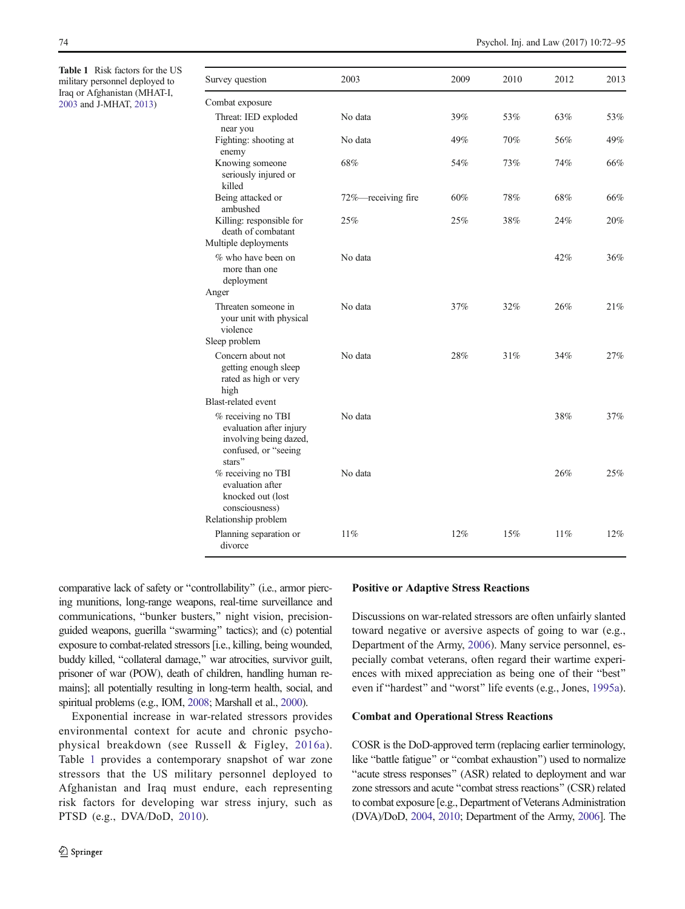<span id="page-2-0"></span>Table 1 Risk factors for the US military personnel deployed to Iraq or Afghanistan (MHAT-I, [2003](#page-22-0) and J-MHAT, [2013\)](#page-21-0)

| Survey question                                                                                           | 2003               | 2009 | 2010 | 2012 | 2013 |
|-----------------------------------------------------------------------------------------------------------|--------------------|------|------|------|------|
| Combat exposure                                                                                           |                    |      |      |      |      |
| Threat: IED exploded<br>near you                                                                          | No data            | 39%  | 53%  | 63%  | 53%  |
| Fighting: shooting at<br>enemy                                                                            | No data            | 49%  | 70%  | 56%  | 49%  |
| Knowing someone<br>seriously injured or<br>killed                                                         | 68%                | 54%  | 73%  | 74%  | 66%  |
| Being attacked or<br>ambushed                                                                             | 72%—receiving fire | 60%  | 78%  | 68%  | 66%  |
| Killing: responsible for<br>death of combatant<br>Multiple deployments                                    | 25%                | 25%  | 38%  | 24%  | 20%  |
| % who have been on<br>more than one<br>deployment                                                         | No data            |      |      | 42%  | 36%  |
| Anger                                                                                                     |                    |      |      |      |      |
| Threaten someone in<br>your unit with physical<br>violence                                                | No data            | 37%  | 32%  | 26%  | 21%  |
| Sleep problem                                                                                             |                    |      |      |      |      |
| Concern about not<br>getting enough sleep<br>rated as high or very<br>high                                | No data            | 28%  | 31%  | 34%  | 27%  |
| Blast-related event                                                                                       |                    |      |      |      |      |
| % receiving no TBI<br>evaluation after injury<br>involving being dazed,<br>confused, or "seeing<br>stars" | No data            |      |      | 38%  | 37%  |
| % receiving no TBI<br>evaluation after<br>knocked out (lost<br>consciousness)<br>Relationship problem     | No data            |      |      | 26%  | 25%  |
| Planning separation or<br>divorce                                                                         | 11%                | 12%  | 15%  | 11%  | 12%  |

comparative lack of safety or "controllability" (i.e., armor piercing munitions, long-range weapons, real-time surveillance and communications, "bunker busters," night vision, precisionguided weapons, guerilla "swarming" tactics); and (c) potential exposure to combat-related stressors [i.e., killing, being wounded, buddy killed, "collateral damage," war atrocities, survivor guilt, prisoner of war (POW), death of children, handling human remains]; all potentially resulting in long-term health, social, and spiritual problems (e.g., IOM, [2008;](#page-21-0) Marshall et al., [2000\)](#page-22-0).

Exponential increase in war-related stressors provides environmental context for acute and chronic psychophysical breakdown (see Russell & Figley, [2016a](#page-22-0)). Table 1 provides a contemporary snapshot of war zone stressors that the US military personnel deployed to Afghanistan and Iraq must endure, each representing risk factors for developing war stress injury, such as PTSD (e.g., DVA/DoD, [2010\)](#page-21-0).

### Positive or Adaptive Stress Reactions

Discussions on war-related stressors are often unfairly slanted toward negative or aversive aspects of going to war (e.g., Department of the Army, [2006\)](#page-21-0). Many service personnel, especially combat veterans, often regard their wartime experiences with mixed appreciation as being one of their "best" even if "hardest" and "worst" life events (e.g., Jones, [1995a\)](#page-21-0).

### Combat and Operational Stress Reactions

COSR is the DoD-approved term (replacing earlier terminology, like "battle fatigue" or "combat exhaustion") used to normalize "acute stress responses" (ASR) related to deployment and war zone stressors and acute "combat stress reactions" (CSR) related to combat exposure [e.g., Department of Veterans Administration (DVA)/DoD, [2004](#page-21-0), [2010](#page-21-0); Department of the Army, [2006](#page-21-0)]. The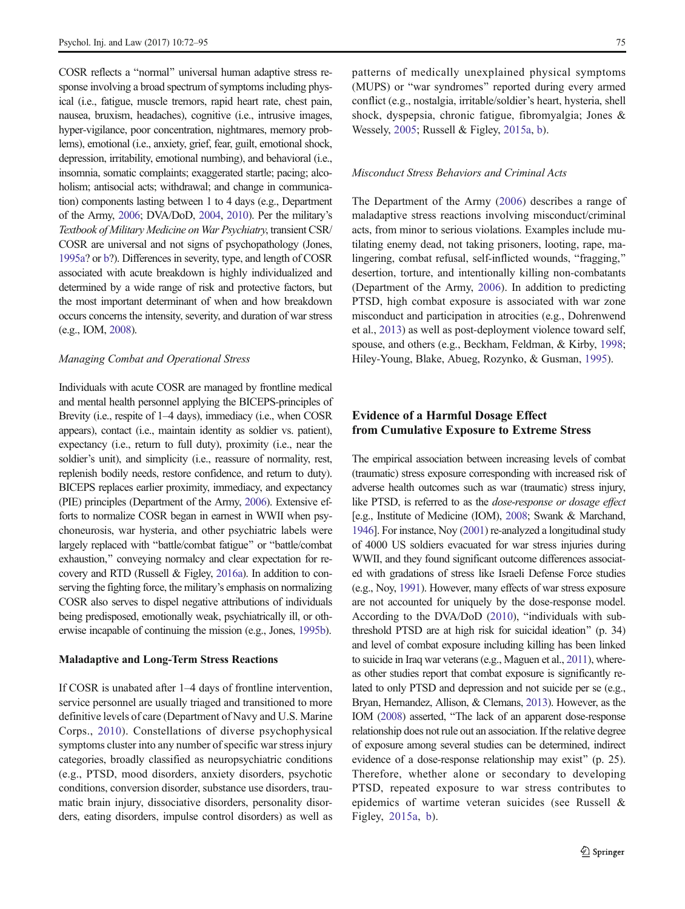COSR reflects a "normal" universal human adaptive stress response involving a broad spectrum of symptoms including physical (i.e., fatigue, muscle tremors, rapid heart rate, chest pain, nausea, bruxism, headaches), cognitive (i.e., intrusive images, hyper-vigilance, poor concentration, nightmares, memory problems), emotional (i.e., anxiety, grief, fear, guilt, emotional shock, depression, irritability, emotional numbing), and behavioral (i.e., insomnia, somatic complaints; exaggerated startle; pacing; alcoholism; antisocial acts; withdrawal; and change in communication) components lasting between 1 to 4 days (e.g., Department of the Army, [2006;](#page-21-0) DVA/DoD, [2004,](#page-21-0) [2010\)](#page-21-0). Per the military's Textbook of Military Medicine on War Psychiatry, transient CSR/ COSR are universal and not signs of psychopathology (Jones, [1995a?](#page-21-0) or [b?](#page-21-0)). Differences in severity, type, and length of COSR associated with acute breakdown is highly individualized and determined by a wide range of risk and protective factors, but the most important determinant of when and how breakdown occurs concerns the intensity, severity, and duration of war stress (e.g., IOM, [2008](#page-21-0)).

#### Managing Combat and Operational Stress

Individuals with acute COSR are managed by frontline medical and mental health personnel applying the BICEPS-principles of Brevity (i.e., respite of 1–4 days), immediacy (i.e., when COSR appears), contact (i.e., maintain identity as soldier vs. patient), expectancy (i.e., return to full duty), proximity (i.e., near the soldier's unit), and simplicity (i.e., reassure of normality, rest, replenish bodily needs, restore confidence, and return to duty). BICEPS replaces earlier proximity, immediacy, and expectancy (PIE) principles (Department of the Army, [2006\)](#page-21-0). Extensive efforts to normalize COSR began in earnest in WWII when psychoneurosis, war hysteria, and other psychiatric labels were largely replaced with "battle/combat fatigue" or "battle/combat exhaustion," conveying normalcy and clear expectation for recovery and RTD (Russell & Figley, [2016a\)](#page-22-0). In addition to conserving the fighting force, the military's emphasis on normalizing COSR also serves to dispel negative attributions of individuals being predisposed, emotionally weak, psychiatrically ill, or otherwise incapable of continuing the mission (e.g., Jones, [1995b\)](#page-21-0).

#### Maladaptive and Long-Term Stress Reactions

If COSR is unabated after 1–4 days of frontline intervention, service personnel are usually triaged and transitioned to more definitive levels of care (Department of Navy and U.S. Marine Corps., [2010\)](#page-21-0). Constellations of diverse psychophysical symptoms cluster into any number of specific war stress injury categories, broadly classified as neuropsychiatric conditions (e.g., PTSD, mood disorders, anxiety disorders, psychotic conditions, conversion disorder, substance use disorders, traumatic brain injury, dissociative disorders, personality disorders, eating disorders, impulse control disorders) as well as patterns of medically unexplained physical symptoms (MUPS) or "war syndromes" reported during every armed conflict (e.g., nostalgia, irritable/soldier's heart, hysteria, shell shock, dyspepsia, chronic fatigue, fibromyalgia; Jones & Wessely, [2005](#page-21-0); Russell & Figley, [2015a,](#page-22-0) [b\)](#page-22-0).

### Misconduct Stress Behaviors and Criminal Acts

The Department of the Army [\(2006](#page-21-0)) describes a range of maladaptive stress reactions involving misconduct/criminal acts, from minor to serious violations. Examples include mutilating enemy dead, not taking prisoners, looting, rape, malingering, combat refusal, self-inflicted wounds, "fragging," desertion, torture, and intentionally killing non-combatants (Department of the Army, [2006\)](#page-21-0). In addition to predicting PTSD, high combat exposure is associated with war zone misconduct and participation in atrocities (e.g., Dohrenwend et al., [2013](#page-21-0)) as well as post-deployment violence toward self, spouse, and others (e.g., Beckham, Feldman, & Kirby, [1998;](#page-20-0) Hiley-Young, Blake, Abueg, Rozynko, & Gusman, [1995](#page-21-0)).

# Evidence of a Harmful Dosage Effect from Cumulative Exposure to Extreme Stress

The empirical association between increasing levels of combat (traumatic) stress exposure corresponding with increased risk of adverse health outcomes such as war (traumatic) stress injury, like PTSD, is referred to as the *dose-response or dosage effect* [e.g., Institute of Medicine (IOM), [2008;](#page-21-0) Swank & Marchand, [1946\]](#page-23-0). For instance, Noy [\(2001\)](#page-22-0) re-analyzed a longitudinal study of 4000 US soldiers evacuated for war stress injuries during WWII, and they found significant outcome differences associated with gradations of stress like Israeli Defense Force studies (e.g., Noy, [1991\)](#page-22-0). However, many effects of war stress exposure are not accounted for uniquely by the dose-response model. According to the DVA/DoD  $(2010)$ , "individuals with subthreshold PTSD are at high risk for suicidal ideation^ (p. 34) and level of combat exposure including killing has been linked to suicide in Iraq war veterans (e.g., Maguen et al., [2011](#page-22-0)), whereas other studies report that combat exposure is significantly related to only PTSD and depression and not suicide per se (e.g., Bryan, Hernandez, Allison, & Clemans, [2013](#page-20-0)). However, as the IOM [\(2008\)](#page-21-0) asserted, "The lack of an apparent dose-response relationship does not rule out an association. If the relative degree of exposure among several studies can be determined, indirect evidence of a dose-response relationship may exist^ (p. 25). Therefore, whether alone or secondary to developing PTSD, repeated exposure to war stress contributes to epidemics of wartime veteran suicides (see Russell & Figley, [2015a](#page-22-0), [b](#page-22-0)).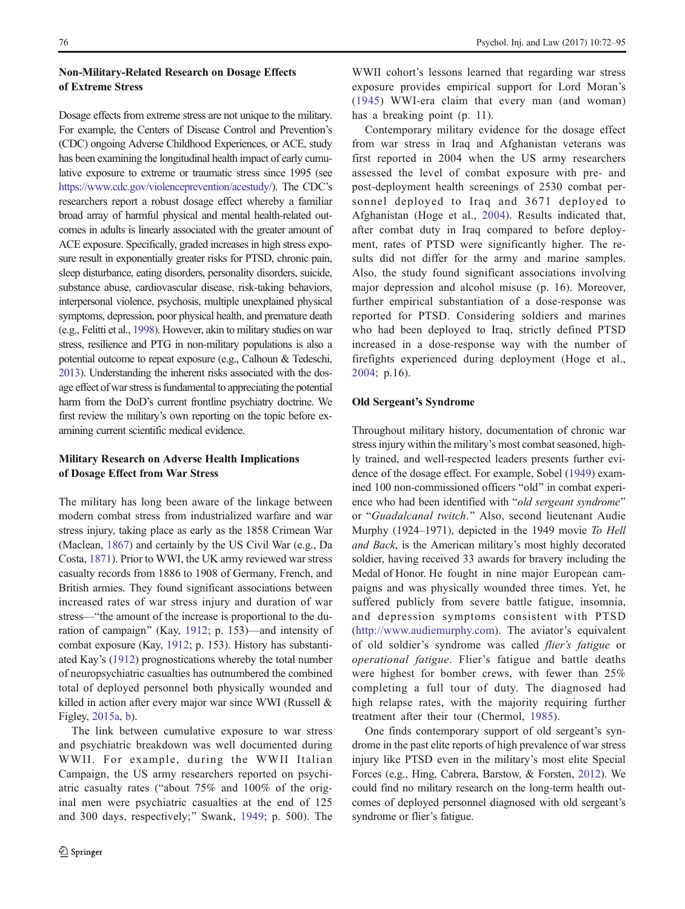### Non-Military-Related Research on Dosage Effects of Extreme Stress

Dosage effects from extreme stress are not unique to the military. For example, the Centers of Disease Control and Prevention's (CDC) ongoing Adverse Childhood Experiences, or ACE, study has been examining the longitudinal health impact of early cumulative exposure to extreme or traumatic stress since 1995 (see <https://www.cdc.gov/violenceprevention/acestudy/>). The CDC's researchers report a robust dosage effect whereby a familiar broad array of harmful physical and mental health-related outcomes in adults is linearly associated with the greater amount of ACE exposure. Specifically, graded increases in high stress exposure result in exponentially greater risks for PTSD, chronic pain, sleep disturbance, eating disorders, personality disorders, suicide, substance abuse, cardiovascular disease, risk-taking behaviors, interpersonal violence, psychosis, multiple unexplained physical symptoms, depression, poor physical health, and premature death (e.g., Felitti et al., [1998](#page-21-0)). However, akin to military studies on war stress, resilience and PTG in non-military populations is also a potential outcome to repeat exposure (e.g., Calhoun & Tedeschi, [2013\)](#page-20-0). Understanding the inherent risks associated with the dosage effect of war stress is fundamental to appreciating the potential harm from the DoD's current frontline psychiatry doctrine. We first review the military's own reporting on the topic before examining current scientific medical evidence.

# Military Research on Adverse Health Implications of Dosage Effect from War Stress

The military has long been aware of the linkage between modern combat stress from industrialized warfare and war stress injury, taking place as early as the 1858 Crimean War (Maclean, [1867](#page-22-0)) and certainly by the US Civil War (e.g., Da Costa, [1871](#page-20-0)). Prior to WWI, the UK army reviewed war stress casualty records from 1886 to 1908 of Germany, French, and British armies. They found significant associations between increased rates of war stress injury and duration of war stress—"the amount of the increase is proportional to the du-ration of campaign" (Kay, [1912;](#page-22-0) p. 153)—and intensity of combat exposure (Kay, [1912](#page-22-0); p. 153). History has substantiated Kay's ([1912](#page-22-0)) prognostications whereby the total number of neuropsychiatric casualties has outnumbered the combined total of deployed personnel both physically wounded and killed in action after every major war since WWI (Russell & Figley, [2015a,](#page-22-0) [b\)](#page-22-0).

The link between cumulative exposure to war stress and psychiatric breakdown was well documented during WWII. For example, during the WWII Italian Campaign, the US army researchers reported on psychiatric casualty rates ("about  $75\%$  and  $100\%$  of the original men were psychiatric casualties at the end of 125 and 300 days, respectively;" Swank, [1949;](#page-23-0) p. 500). The

WWII cohort's lessons learned that regarding war stress exposure provides empirical support for Lord Moran's ([1945\)](#page-22-0) WWI-era claim that every man (and woman) has a breaking point (p. 11).

Contemporary military evidence for the dosage effect from war stress in Iraq and Afghanistan veterans was first reported in 2004 when the US army researchers assessed the level of combat exposure with pre- and post-deployment health screenings of 2530 combat personnel deployed to Iraq and 3671 deployed to Afghanistan (Hoge et al., [2004\)](#page-21-0). Results indicated that, after combat duty in Iraq compared to before deployment, rates of PTSD were significantly higher. The results did not differ for the army and marine samples. Also, the study found significant associations involving major depression and alcohol misuse (p. 16). Moreover, further empirical substantiation of a dose-response was reported for PTSD. Considering soldiers and marines who had been deployed to Iraq, strictly defined PTSD increased in a dose-response way with the number of firefights experienced during deployment (Hoge et al., [2004](#page-21-0); p.16).

### Old Sergeant's Syndrome

Throughout military history, documentation of chronic war stress injury within the military's most combat seasoned, highly trained, and well-respected leaders presents further evidence of the dosage effect. For example, Sobel ([1949](#page-23-0)) examined 100 non-commissioned officers "old" in combat experience who had been identified with "old sergeant syndrome" or "Guadalcanal twitch." Also, second lieutenant Audie Murphy (1924–1971), depicted in the 1949 movie To Hell and Back, is the American military's most highly decorated soldier, having received 33 awards for bravery including the Medal of Honor. He fought in nine major European campaigns and was physically wounded three times. Yet, he suffered publicly from severe battle fatigue, insomnia, and depression symptoms consistent with PTSD [\(http://www.audiemurphy.com](http://www.audiemurphy.com)). The aviator's equivalent of old soldier's syndrome was called flier's fatigue or operational fatigue. Flier's fatigue and battle deaths were highest for bomber crews, with fewer than 25% completing a full tour of duty. The diagnosed had high relapse rates, with the majority requiring further treatment after their tour (Chermol, [1985](#page-20-0)).

One finds contemporary support of old sergeant's syndrome in the past elite reports of high prevalence of war stress injury like PTSD even in the military's most elite Special Forces (e.g., Hing, Cabrera, Barstow, & Forsten, [2012](#page-21-0)). We could find no military research on the long-term health outcomes of deployed personnel diagnosed with old sergeant's syndrome or flier's fatigue.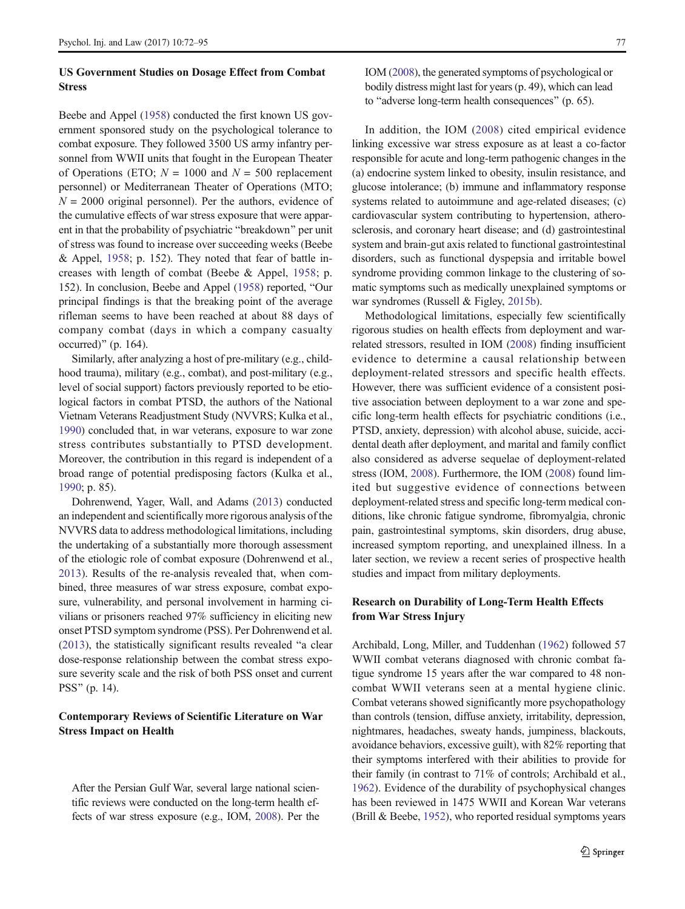### US Government Studies on Dosage Effect from Combat Stress

Beebe and Appel [\(1958\)](#page-20-0) conducted the first known US government sponsored study on the psychological tolerance to combat exposure. They followed 3500 US army infantry personnel from WWII units that fought in the European Theater of Operations (ETO;  $N = 1000$  and  $N = 500$  replacement personnel) or Mediterranean Theater of Operations (MTO;  $N = 2000$  original personnel). Per the authors, evidence of the cumulative effects of war stress exposure that were apparent in that the probability of psychiatric "breakdown" per unit of stress was found to increase over succeeding weeks (Beebe & Appel, [1958](#page-20-0); p. 152). They noted that fear of battle increases with length of combat (Beebe & Appel, [1958;](#page-20-0) p. 152). In conclusion, Beebe and Appel [\(1958\)](#page-20-0) reported, "Our principal findings is that the breaking point of the average rifleman seems to have been reached at about 88 days of company combat (days in which a company casualty occurred)" (p. 164).

Similarly, after analyzing a host of pre-military (e.g., childhood trauma), military (e.g., combat), and post-military (e.g., level of social support) factors previously reported to be etiological factors in combat PTSD, the authors of the National Vietnam Veterans Readjustment Study (NVVRS; Kulka et al., [1990\)](#page-22-0) concluded that, in war veterans, exposure to war zone stress contributes substantially to PTSD development. Moreover, the contribution in this regard is independent of a broad range of potential predisposing factors (Kulka et al., [1990;](#page-22-0) p. 85).

Dohrenwend, Yager, Wall, and Adams [\(2013](#page-21-0)) conducted an independent and scientifically more rigorous analysis of the NVVRS data to address methodological limitations, including the undertaking of a substantially more thorough assessment of the etiologic role of combat exposure (Dohrenwend et al., [2013\)](#page-21-0). Results of the re-analysis revealed that, when combined, three measures of war stress exposure, combat exposure, vulnerability, and personal involvement in harming civilians or prisoners reached 97% sufficiency in eliciting new onset PTSD symptom syndrome (PSS). Per Dohrenwend et al.  $(2013)$ , the statistically significant results revealed "a clear dose-response relationship between the combat stress exposure severity scale and the risk of both PSS onset and current PSS" (p. 14).

### Contemporary Reviews of Scientific Literature on War Stress Impact on Health

After the Persian Gulf War, several large national scientific reviews were conducted on the long-term health effects of war stress exposure (e.g., IOM, [2008](#page-21-0)). Per the IOM [\(2008](#page-21-0)), the generated symptoms of psychological or bodily distress might last for years (p. 49), which can lead to "adverse long-term health consequences" (p. 65).

In addition, the IOM ([2008](#page-21-0)) cited empirical evidence linking excessive war stress exposure as at least a co-factor responsible for acute and long-term pathogenic changes in the (a) endocrine system linked to obesity, insulin resistance, and glucose intolerance; (b) immune and inflammatory response systems related to autoimmune and age-related diseases; (c) cardiovascular system contributing to hypertension, atherosclerosis, and coronary heart disease; and (d) gastrointestinal system and brain-gut axis related to functional gastrointestinal disorders, such as functional dyspepsia and irritable bowel syndrome providing common linkage to the clustering of somatic symptoms such as medically unexplained symptoms or war syndromes (Russell & Figley, [2015b](#page-22-0)).

Methodological limitations, especially few scientifically rigorous studies on health effects from deployment and warrelated stressors, resulted in IOM ([2008](#page-21-0)) finding insufficient evidence to determine a causal relationship between deployment-related stressors and specific health effects. However, there was sufficient evidence of a consistent positive association between deployment to a war zone and specific long-term health effects for psychiatric conditions (i.e., PTSD, anxiety, depression) with alcohol abuse, suicide, accidental death after deployment, and marital and family conflict also considered as adverse sequelae of deployment-related stress (IOM, [2008\)](#page-21-0). Furthermore, the IOM [\(2008](#page-21-0)) found limited but suggestive evidence of connections between deployment-related stress and specific long-term medical conditions, like chronic fatigue syndrome, fibromyalgia, chronic pain, gastrointestinal symptoms, skin disorders, drug abuse, increased symptom reporting, and unexplained illness. In a later section, we review a recent series of prospective health studies and impact from military deployments.

# Research on Durability of Long-Term Health Effects from War Stress Injury

Archibald, Long, Miller, and Tuddenhan [\(1962](#page-20-0)) followed 57 WWII combat veterans diagnosed with chronic combat fatigue syndrome 15 years after the war compared to 48 noncombat WWII veterans seen at a mental hygiene clinic. Combat veterans showed significantly more psychopathology than controls (tension, diffuse anxiety, irritability, depression, nightmares, headaches, sweaty hands, jumpiness, blackouts, avoidance behaviors, excessive guilt), with 82% reporting that their symptoms interfered with their abilities to provide for their family (in contrast to 71% of controls; Archibald et al., [1962\)](#page-20-0). Evidence of the durability of psychophysical changes has been reviewed in 1475 WWII and Korean War veterans (Brill & Beebe, [1952](#page-20-0)), who reported residual symptoms years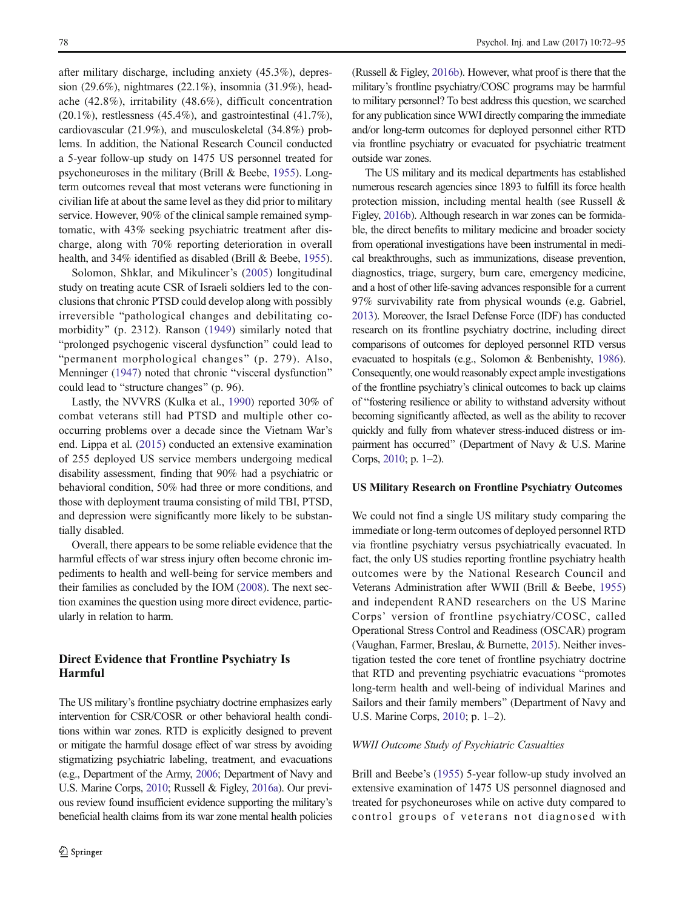after military discharge, including anxiety (45.3%), depression (29.6%), nightmares (22.1%), insomnia (31.9%), headache (42.8%), irritability (48.6%), difficult concentration  $(20.1\%)$ , restlessness  $(45.4\%)$ , and gastrointestinal  $(41.7\%)$ , cardiovascular (21.9%), and musculoskeletal (34.8%) problems. In addition, the National Research Council conducted a 5-year follow-up study on 1475 US personnel treated for psychoneuroses in the military (Brill & Beebe, [1955\)](#page-20-0). Longterm outcomes reveal that most veterans were functioning in civilian life at about the same level as they did prior to military service. However, 90% of the clinical sample remained symptomatic, with 43% seeking psychiatric treatment after discharge, along with 70% reporting deterioration in overall health, and 34% identified as disabled (Brill & Beebe, [1955\)](#page-20-0).

Solomon, Shklar, and Mikulincer's ([2005\)](#page-23-0) longitudinal study on treating acute CSR of Israeli soldiers led to the conclusions that chronic PTSD could develop along with possibly irreversible "pathological changes and debilitating co-morbidity" (p. 2312). Ranson [\(1949\)](#page-22-0) similarly noted that "prolonged psychogenic visceral dysfunction" could lead to "permanent morphological changes" (p. 279). Also, Menninger [\(1947\)](#page-22-0) noted that chronic "visceral dysfunction" could lead to "structure changes" (p. 96).

Lastly, the NVVRS (Kulka et al., [1990\)](#page-22-0) reported 30% of combat veterans still had PTSD and multiple other cooccurring problems over a decade since the Vietnam War's end. Lippa et al. [\(2015\)](#page-22-0) conducted an extensive examination of 255 deployed US service members undergoing medical disability assessment, finding that 90% had a psychiatric or behavioral condition, 50% had three or more conditions, and those with deployment trauma consisting of mild TBI, PTSD, and depression were significantly more likely to be substantially disabled.

Overall, there appears to be some reliable evidence that the harmful effects of war stress injury often become chronic impediments to health and well-being for service members and their families as concluded by the IOM [\(2008\)](#page-21-0). The next section examines the question using more direct evidence, particularly in relation to harm.

# Direct Evidence that Frontline Psychiatry Is Harmful

The US military's frontline psychiatry doctrine emphasizes early intervention for CSR/COSR or other behavioral health conditions within war zones. RTD is explicitly designed to prevent or mitigate the harmful dosage effect of war stress by avoiding stigmatizing psychiatric labeling, treatment, and evacuations (e.g., Department of the Army, [2006](#page-21-0); Department of Navy and U.S. Marine Corps, [2010;](#page-21-0) Russell & Figley, [2016a\)](#page-22-0). Our previous review found insufficient evidence supporting the military's beneficial health claims from its war zone mental health policies (Russell & Figley, [2016b](#page-22-0)). However, what proof is there that the military's frontline psychiatry/COSC programs may be harmful to military personnel? To best address this question, we searched for any publication since WWI directly comparing the immediate and/or long-term outcomes for deployed personnel either RTD via frontline psychiatry or evacuated for psychiatric treatment outside war zones.

The US military and its medical departments has established numerous research agencies since 1893 to fulfill its force health protection mission, including mental health (see Russell & Figley, [2016b](#page-22-0)). Although research in war zones can be formidable, the direct benefits to military medicine and broader society from operational investigations have been instrumental in medical breakthroughs, such as immunizations, disease prevention, diagnostics, triage, surgery, burn care, emergency medicine, and a host of other life-saving advances responsible for a current 97% survivability rate from physical wounds (e.g. Gabriel, [2013\)](#page-21-0). Moreover, the Israel Defense Force (IDF) has conducted research on its frontline psychiatry doctrine, including direct comparisons of outcomes for deployed personnel RTD versus evacuated to hospitals (e.g., Solomon & Benbenishty, [1986\)](#page-23-0). Consequently, one would reasonably expect ample investigations of the frontline psychiatry's clinical outcomes to back up claims of "fostering resilience or ability to withstand adversity without becoming significantly affected, as well as the ability to recover quickly and fully from whatever stress-induced distress or impairment has occurred" (Department of Navy & U.S. Marine Corps, [2010](#page-21-0); p. 1–2).

### US Military Research on Frontline Psychiatry Outcomes

We could not find a single US military study comparing the immediate or long-term outcomes of deployed personnel RTD via frontline psychiatry versus psychiatrically evacuated. In fact, the only US studies reporting frontline psychiatry health outcomes were by the National Research Council and Veterans Administration after WWII (Brill & Beebe, [1955](#page-20-0)) and independent RAND researchers on the US Marine Corps' version of frontline psychiatry/COSC, called Operational Stress Control and Readiness (OSCAR) program (Vaughan, Farmer, Breslau, & Burnette, [2015\)](#page-23-0). Neither investigation tested the core tenet of frontline psychiatry doctrine that RTD and preventing psychiatric evacuations "promotes long-term health and well-being of individual Marines and Sailors and their family members" (Department of Navy and U.S. Marine Corps, [2010;](#page-21-0) p. 1–2).

### WWII Outcome Study of Psychiatric Casualties

Brill and Beebe's [\(1955\)](#page-20-0) 5-year follow-up study involved an extensive examination of 1475 US personnel diagnosed and treated for psychoneuroses while on active duty compared to control groups of veterans not diagnosed with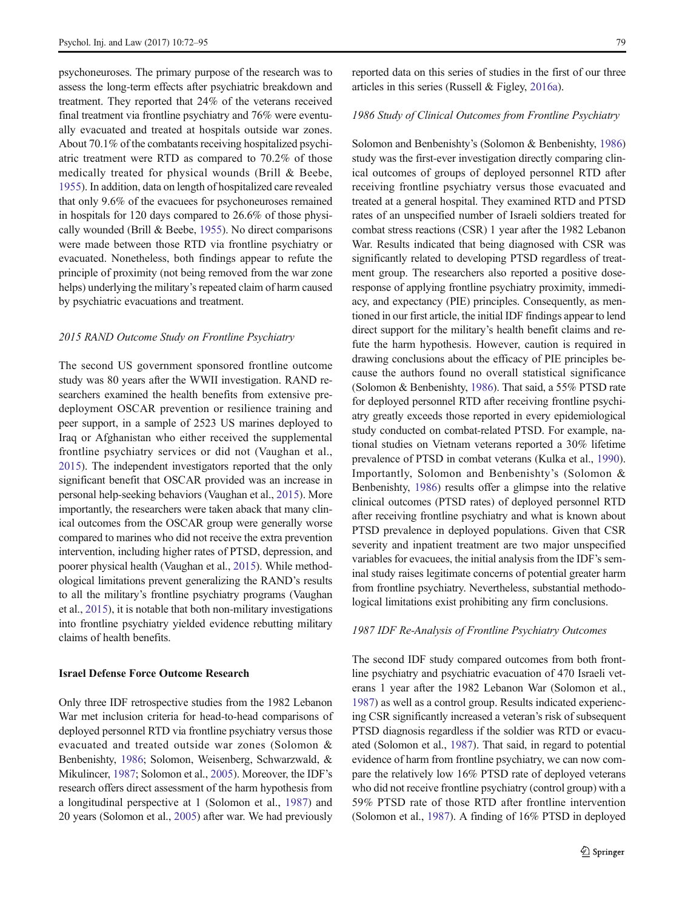psychoneuroses. The primary purpose of the research was to assess the long-term effects after psychiatric breakdown and treatment. They reported that 24% of the veterans received final treatment via frontline psychiatry and 76% were eventually evacuated and treated at hospitals outside war zones. About 70.1% of the combatants receiving hospitalized psychiatric treatment were RTD as compared to 70.2% of those medically treated for physical wounds (Brill & Beebe, [1955\)](#page-20-0). In addition, data on length of hospitalized care revealed that only 9.6% of the evacuees for psychoneuroses remained in hospitals for 120 days compared to 26.6% of those physically wounded (Brill & Beebe, [1955\)](#page-20-0). No direct comparisons were made between those RTD via frontline psychiatry or evacuated. Nonetheless, both findings appear to refute the principle of proximity (not being removed from the war zone helps) underlying the military's repeated claim of harm caused by psychiatric evacuations and treatment.

#### 2015 RAND Outcome Study on Frontline Psychiatry

The second US government sponsored frontline outcome study was 80 years after the WWII investigation. RAND researchers examined the health benefits from extensive predeployment OSCAR prevention or resilience training and peer support, in a sample of 2523 US marines deployed to Iraq or Afghanistan who either received the supplemental frontline psychiatry services or did not (Vaughan et al., [2015\)](#page-23-0). The independent investigators reported that the only significant benefit that OSCAR provided was an increase in personal help-seeking behaviors (Vaughan et al., [2015](#page-23-0)). More importantly, the researchers were taken aback that many clinical outcomes from the OSCAR group were generally worse compared to marines who did not receive the extra prevention intervention, including higher rates of PTSD, depression, and poorer physical health (Vaughan et al., [2015\)](#page-23-0). While methodological limitations prevent generalizing the RAND's results to all the military's frontline psychiatry programs (Vaughan et al., [2015\)](#page-23-0), it is notable that both non-military investigations into frontline psychiatry yielded evidence rebutting military claims of health benefits.

### Israel Defense Force Outcome Research

Only three IDF retrospective studies from the 1982 Lebanon War met inclusion criteria for head-to-head comparisons of deployed personnel RTD via frontline psychiatry versus those evacuated and treated outside war zones (Solomon & Benbenishty, [1986](#page-23-0); Solomon, Weisenberg, Schwarzwald, & Mikulincer, [1987;](#page-23-0) Solomon et al., [2005\)](#page-23-0). Moreover, the IDF's research offers direct assessment of the harm hypothesis from a longitudinal perspective at 1 (Solomon et al., [1987\)](#page-23-0) and 20 years (Solomon et al., [2005](#page-23-0)) after war. We had previously

reported data on this series of studies in the first of our three articles in this series (Russell & Figley, [2016a\)](#page-22-0).

#### 1986 Study of Clinical Outcomes from Frontline Psychiatry

Solomon and Benbenishty's (Solomon & Benbenishty, [1986](#page-23-0)) study was the first-ever investigation directly comparing clinical outcomes of groups of deployed personnel RTD after receiving frontline psychiatry versus those evacuated and treated at a general hospital. They examined RTD and PTSD rates of an unspecified number of Israeli soldiers treated for combat stress reactions (CSR) 1 year after the 1982 Lebanon War. Results indicated that being diagnosed with CSR was significantly related to developing PTSD regardless of treatment group. The researchers also reported a positive doseresponse of applying frontline psychiatry proximity, immediacy, and expectancy (PIE) principles. Consequently, as mentioned in our first article, the initial IDF findings appear to lend direct support for the military's health benefit claims and refute the harm hypothesis. However, caution is required in drawing conclusions about the efficacy of PIE principles because the authors found no overall statistical significance (Solomon & Benbenishty, [1986\)](#page-23-0). That said, a 55% PTSD rate for deployed personnel RTD after receiving frontline psychiatry greatly exceeds those reported in every epidemiological study conducted on combat-related PTSD. For example, national studies on Vietnam veterans reported a 30% lifetime prevalence of PTSD in combat veterans (Kulka et al., [1990\)](#page-22-0). Importantly, Solomon and Benbenishty's (Solomon & Benbenishty, [1986](#page-23-0)) results offer a glimpse into the relative clinical outcomes (PTSD rates) of deployed personnel RTD after receiving frontline psychiatry and what is known about PTSD prevalence in deployed populations. Given that CSR severity and inpatient treatment are two major unspecified variables for evacuees, the initial analysis from the IDF's seminal study raises legitimate concerns of potential greater harm from frontline psychiatry. Nevertheless, substantial methodological limitations exist prohibiting any firm conclusions.

#### 1987 IDF Re-Analysis of Frontline Psychiatry Outcomes

The second IDF study compared outcomes from both frontline psychiatry and psychiatric evacuation of 470 Israeli veterans 1 year after the 1982 Lebanon War (Solomon et al., [1987\)](#page-23-0) as well as a control group. Results indicated experiencing CSR significantly increased a veteran's risk of subsequent PTSD diagnosis regardless if the soldier was RTD or evacuated (Solomon et al., [1987](#page-23-0)). That said, in regard to potential evidence of harm from frontline psychiatry, we can now compare the relatively low 16% PTSD rate of deployed veterans who did not receive frontline psychiatry (control group) with a 59% PTSD rate of those RTD after frontline intervention (Solomon et al., [1987](#page-23-0)). A finding of 16% PTSD in deployed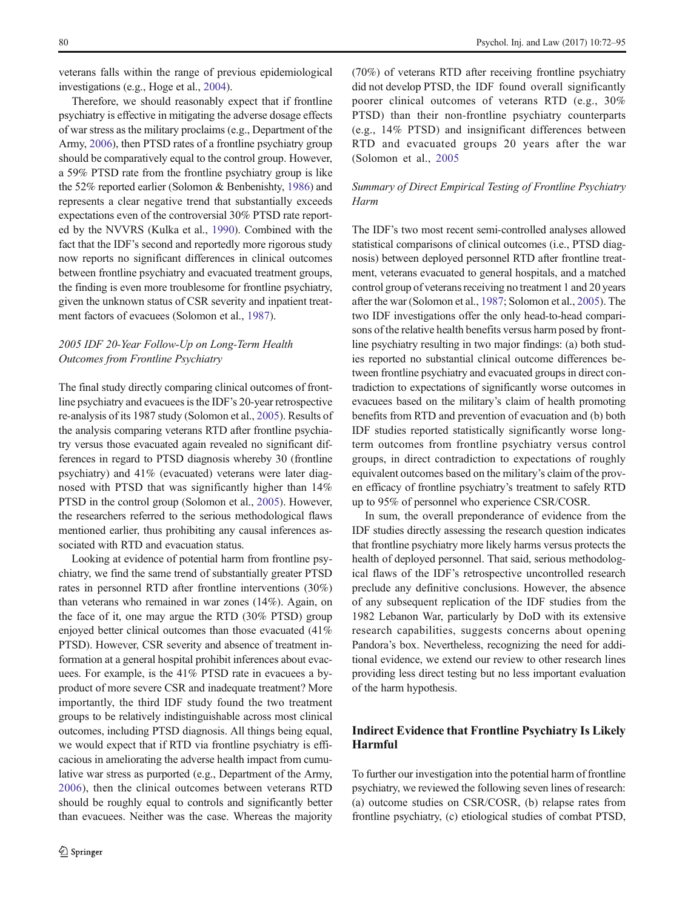veterans falls within the range of previous epidemiological investigations (e.g., Hoge et al., [2004\)](#page-21-0).

Therefore, we should reasonably expect that if frontline psychiatry is effective in mitigating the adverse dosage effects of war stress as the military proclaims (e.g., Department of the Army, [2006](#page-21-0)), then PTSD rates of a frontline psychiatry group should be comparatively equal to the control group. However, a 59% PTSD rate from the frontline psychiatry group is like the 52% reported earlier (Solomon & Benbenishty, [1986](#page-23-0)) and represents a clear negative trend that substantially exceeds expectations even of the controversial 30% PTSD rate reported by the NVVRS (Kulka et al., [1990\)](#page-22-0). Combined with the fact that the IDF's second and reportedly more rigorous study now reports no significant differences in clinical outcomes between frontline psychiatry and evacuated treatment groups, the finding is even more troublesome for frontline psychiatry, given the unknown status of CSR severity and inpatient treatment factors of evacuees (Solomon et al., [1987\)](#page-23-0).

# 2005 IDF 20-Year Follow-Up on Long-Term Health Outcomes from Frontline Psychiatry

The final study directly comparing clinical outcomes of frontline psychiatry and evacuees is the IDF's 20-year retrospective re-analysis of its 1987 study (Solomon et al., [2005\)](#page-23-0). Results of the analysis comparing veterans RTD after frontline psychiatry versus those evacuated again revealed no significant differences in regard to PTSD diagnosis whereby 30 (frontline psychiatry) and 41% (evacuated) veterans were later diagnosed with PTSD that was significantly higher than 14% PTSD in the control group (Solomon et al., [2005](#page-23-0)). However, the researchers referred to the serious methodological flaws mentioned earlier, thus prohibiting any causal inferences associated with RTD and evacuation status.

Looking at evidence of potential harm from frontline psychiatry, we find the same trend of substantially greater PTSD rates in personnel RTD after frontline interventions (30%) than veterans who remained in war zones (14%). Again, on the face of it, one may argue the RTD (30% PTSD) group enjoyed better clinical outcomes than those evacuated (41% PTSD). However, CSR severity and absence of treatment information at a general hospital prohibit inferences about evacuees. For example, is the 41% PTSD rate in evacuees a byproduct of more severe CSR and inadequate treatment? More importantly, the third IDF study found the two treatment groups to be relatively indistinguishable across most clinical outcomes, including PTSD diagnosis. All things being equal, we would expect that if RTD via frontline psychiatry is efficacious in ameliorating the adverse health impact from cumulative war stress as purported (e.g., Department of the Army, [2006](#page-21-0)), then the clinical outcomes between veterans RTD should be roughly equal to controls and significantly better than evacuees. Neither was the case. Whereas the majority (70%) of veterans RTD after receiving frontline psychiatry did not develop PTSD, the IDF found overall significantly poorer clinical outcomes of veterans RTD (e.g., 30% PTSD) than their non-frontline psychiatry counterparts (e.g., 14% PTSD) and insignificant differences between RTD and evacuated groups 20 years after the war (Solomon et al., [2005](#page-23-0)

# Summary of Direct Empirical Testing of Frontline Psychiatry Harm

The IDF's two most recent semi-controlled analyses allowed statistical comparisons of clinical outcomes (i.e., PTSD diagnosis) between deployed personnel RTD after frontline treatment, veterans evacuated to general hospitals, and a matched control group of veterans receiving no treatment 1 and 20 years after the war (Solomon et al., [1987;](#page-23-0) Solomon et al., [2005\)](#page-23-0). The two IDF investigations offer the only head-to-head comparisons of the relative health benefits versus harm posed by frontline psychiatry resulting in two major findings: (a) both studies reported no substantial clinical outcome differences between frontline psychiatry and evacuated groups in direct contradiction to expectations of significantly worse outcomes in evacuees based on the military's claim of health promoting benefits from RTD and prevention of evacuation and (b) both IDF studies reported statistically significantly worse longterm outcomes from frontline psychiatry versus control groups, in direct contradiction to expectations of roughly equivalent outcomes based on the military's claim of the proven efficacy of frontline psychiatry's treatment to safely RTD up to 95% of personnel who experience CSR/COSR.

In sum, the overall preponderance of evidence from the IDF studies directly assessing the research question indicates that frontline psychiatry more likely harms versus protects the health of deployed personnel. That said, serious methodological flaws of the IDF's retrospective uncontrolled research preclude any definitive conclusions. However, the absence of any subsequent replication of the IDF studies from the 1982 Lebanon War, particularly by DoD with its extensive research capabilities, suggests concerns about opening Pandora's box. Nevertheless, recognizing the need for additional evidence, we extend our review to other research lines providing less direct testing but no less important evaluation of the harm hypothesis.

# Indirect Evidence that Frontline Psychiatry Is Likely Harmful

To further our investigation into the potential harm of frontline psychiatry, we reviewed the following seven lines of research: (a) outcome studies on CSR/COSR, (b) relapse rates from frontline psychiatry, (c) etiological studies of combat PTSD,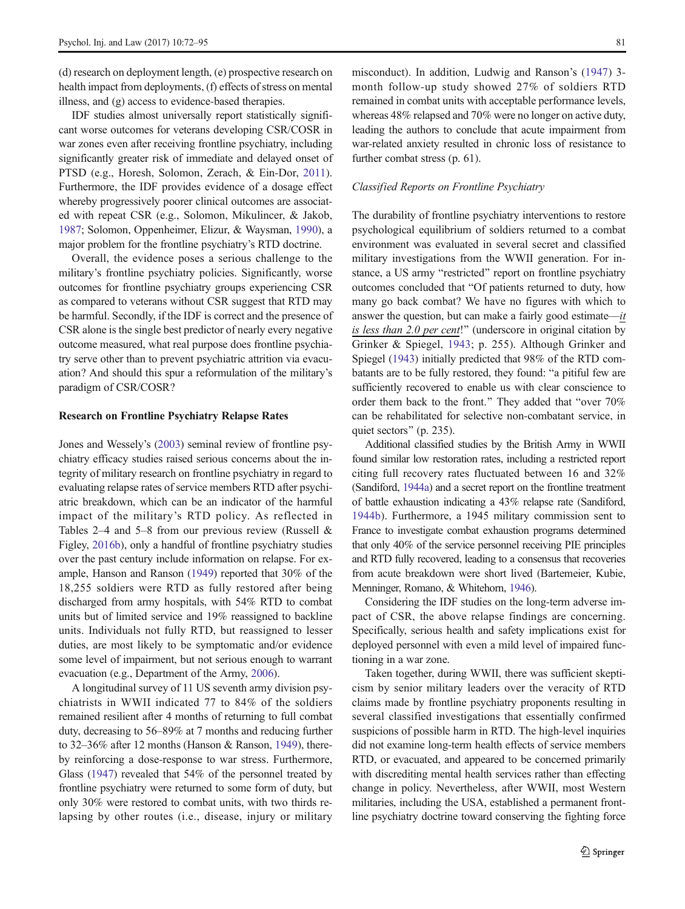(d) research on deployment length, (e) prospective research on health impact from deployments, (f) effects of stress on mental illness, and (g) access to evidence-based therapies.

IDF studies almost universally report statistically significant worse outcomes for veterans developing CSR/COSR in war zones even after receiving frontline psychiatry, including significantly greater risk of immediate and delayed onset of PTSD (e.g., Horesh, Solomon, Zerach, & Ein-Dor, [2011](#page-21-0)). Furthermore, the IDF provides evidence of a dosage effect whereby progressively poorer clinical outcomes are associated with repeat CSR (e.g., Solomon, Mikulincer, & Jakob, [1987;](#page-23-0) Solomon, Oppenheimer, Elizur, & Waysman, [1990](#page-23-0)), a major problem for the frontline psychiatry's RTD doctrine.

Overall, the evidence poses a serious challenge to the military's frontline psychiatry policies. Significantly, worse outcomes for frontline psychiatry groups experiencing CSR as compared to veterans without CSR suggest that RTD may be harmful. Secondly, if the IDF is correct and the presence of CSR alone is the single best predictor of nearly every negative outcome measured, what real purpose does frontline psychiatry serve other than to prevent psychiatric attrition via evacuation? And should this spur a reformulation of the military's paradigm of CSR/COSR?

#### Research on Frontline Psychiatry Relapse Rates

Jones and Wessely's [\(2003\)](#page-21-0) seminal review of frontline psychiatry efficacy studies raised serious concerns about the integrity of military research on frontline psychiatry in regard to evaluating relapse rates of service members RTD after psychiatric breakdown, which can be an indicator of the harmful impact of the military's RTD policy. As reflected in Tables 2–4 and 5–8 from our previous review (Russell  $\&$ Figley, [2016b\)](#page-22-0), only a handful of frontline psychiatry studies over the past century include information on relapse. For example, Hanson and Ranson [\(1949\)](#page-21-0) reported that 30% of the 18,255 soldiers were RTD as fully restored after being discharged from army hospitals, with 54% RTD to combat units but of limited service and 19% reassigned to backline units. Individuals not fully RTD, but reassigned to lesser duties, are most likely to be symptomatic and/or evidence some level of impairment, but not serious enough to warrant evacuation (e.g., Department of the Army, [2006\)](#page-21-0).

A longitudinal survey of 11 US seventh army division psychiatrists in WWII indicated 77 to 84% of the soldiers remained resilient after 4 months of returning to full combat duty, decreasing to 56–89% at 7 months and reducing further to 32–36% after 12 months (Hanson & Ranson, [1949\)](#page-21-0), thereby reinforcing a dose-response to war stress. Furthermore, Glass [\(1947\)](#page-21-0) revealed that 54% of the personnel treated by frontline psychiatry were returned to some form of duty, but only 30% were restored to combat units, with two thirds relapsing by other routes (i.e., disease, injury or military misconduct). In addition, Ludwig and Ranson's ([1947](#page-22-0)) 3 month follow-up study showed 27% of soldiers RTD remained in combat units with acceptable performance levels, whereas 48% relapsed and 70% were no longer on active duty, leading the authors to conclude that acute impairment from war-related anxiety resulted in chronic loss of resistance to further combat stress (p. 61).

#### Classified Reports on Frontline Psychiatry

The durability of frontline psychiatry interventions to restore psychological equilibrium of soldiers returned to a combat environment was evaluated in several secret and classified military investigations from the WWII generation. For instance, a US army "restricted" report on frontline psychiatry outcomes concluded that "Of patients returned to duty, how many go back combat? We have no figures with which to answer the question, but can make a fairly good estimate—it is less than 2.0 per cent!" (underscore in original citation by Grinker & Spiegel, [1943;](#page-21-0) p. 255). Although Grinker and Spiegel [\(1943\)](#page-21-0) initially predicted that 98% of the RTD combatants are to be fully restored, they found: "a pitiful few are sufficiently recovered to enable us with clear conscience to order them back to the front." They added that "over 70% can be rehabilitated for selective non-combatant service, in quiet sectors" (p. 235).

Additional classified studies by the British Army in WWII found similar low restoration rates, including a restricted report citing full recovery rates fluctuated between 16 and 32% (Sandiford, [1944a](#page-23-0)) and a secret report on the frontline treatment of battle exhaustion indicating a 43% relapse rate (Sandiford, [1944b](#page-23-0)). Furthermore, a 1945 military commission sent to France to investigate combat exhaustion programs determined that only 40% of the service personnel receiving PIE principles and RTD fully recovered, leading to a consensus that recoveries from acute breakdown were short lived (Bartemeier, Kubie, Menninger, Romano, & Whitehorn, [1946\)](#page-20-0).

Considering the IDF studies on the long-term adverse impact of CSR, the above relapse findings are concerning. Specifically, serious health and safety implications exist for deployed personnel with even a mild level of impaired functioning in a war zone.

Taken together, during WWII, there was sufficient skepticism by senior military leaders over the veracity of RTD claims made by frontline psychiatry proponents resulting in several classified investigations that essentially confirmed suspicions of possible harm in RTD. The high-level inquiries did not examine long-term health effects of service members RTD, or evacuated, and appeared to be concerned primarily with discrediting mental health services rather than effecting change in policy. Nevertheless, after WWII, most Western militaries, including the USA, established a permanent frontline psychiatry doctrine toward conserving the fighting force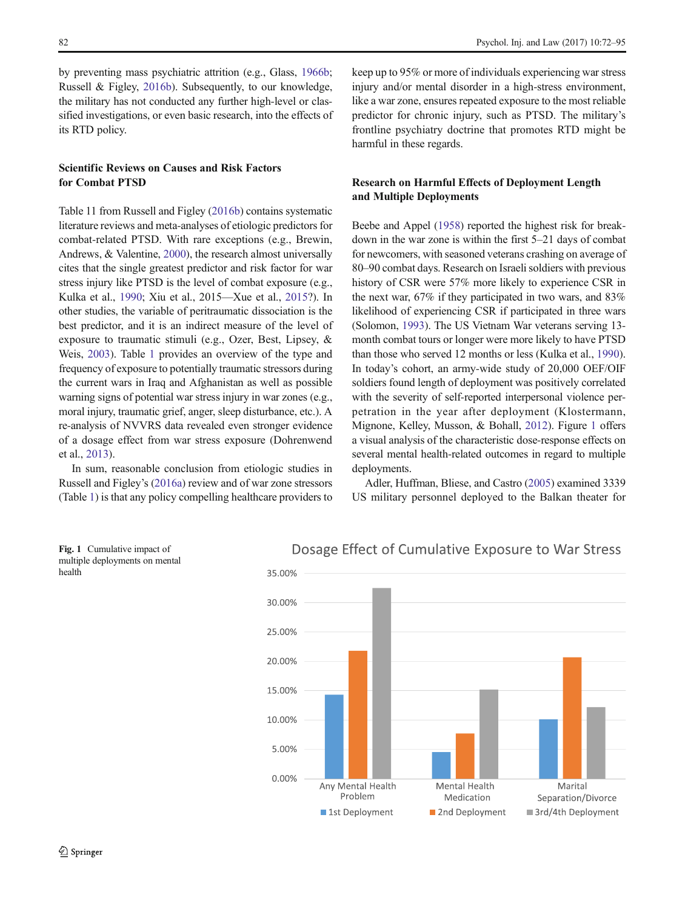by preventing mass psychiatric attrition (e.g., Glass, [1966b](#page-21-0); Russell & Figley, [2016b](#page-22-0)). Subsequently, to our knowledge, the military has not conducted any further high-level or classified investigations, or even basic research, into the effects of its RTD policy.

# Scientific Reviews on Causes and Risk Factors for Combat PTSD

Table 11 from Russell and Figley [\(2016b\)](#page-22-0) contains systematic literature reviews and meta-analyses of etiologic predictors for combat-related PTSD. With rare exceptions (e.g., Brewin, Andrews, & Valentine, [2000\)](#page-20-0), the research almost universally cites that the single greatest predictor and risk factor for war stress injury like PTSD is the level of combat exposure (e.g., Kulka et al., [1990](#page-22-0); Xiu et al., 2015—Xue et al., [2015?](#page-23-0)). In other studies, the variable of peritraumatic dissociation is the best predictor, and it is an indirect measure of the level of exposure to traumatic stimuli (e.g., Ozer, Best, Lipsey, & Weis, [2003\)](#page-22-0). Table [1](#page-2-0) provides an overview of the type and frequency of exposure to potentially traumatic stressors during the current wars in Iraq and Afghanistan as well as possible warning signs of potential war stress injury in war zones (e.g., moral injury, traumatic grief, anger, sleep disturbance, etc.). A re-analysis of NVVRS data revealed even stronger evidence of a dosage effect from war stress exposure (Dohrenwend et al., [2013\)](#page-21-0).

In sum, reasonable conclusion from etiologic studies in Russell and Figley's [\(2016a](#page-22-0)) review and of war zone stressors (Table [1\)](#page-2-0) is that any policy compelling healthcare providers to keep up to 95% or more of individuals experiencing war stress injury and/or mental disorder in a high-stress environment, like a war zone, ensures repeated exposure to the most reliable predictor for chronic injury, such as PTSD. The military's frontline psychiatry doctrine that promotes RTD might be harmful in these regards.

# Research on Harmful Effects of Deployment Length and Multiple Deployments

Beebe and Appel ([1958](#page-20-0)) reported the highest risk for breakdown in the war zone is within the first 5–21 days of combat for newcomers, with seasoned veterans crashing on average of 80–90 combat days. Research on Israeli soldiers with previous history of CSR were 57% more likely to experience CSR in the next war, 67% if they participated in two wars, and 83% likelihood of experiencing CSR if participated in three wars (Solomon, [1993](#page-23-0)). The US Vietnam War veterans serving 13 month combat tours or longer were more likely to have PTSD than those who served 12 months or less (Kulka et al., [1990\)](#page-22-0). In today's cohort, an army-wide study of 20,000 OEF/OIF soldiers found length of deployment was positively correlated with the severity of self-reported interpersonal violence perpetration in the year after deployment (Klostermann, Mignone, Kelley, Musson, & Bohall, [2012](#page-22-0)). Figure 1 offers a visual analysis of the characteristic dose-response effects on several mental health-related outcomes in regard to multiple deployments.

Adler, Huffman, Bliese, and Castro [\(2005](#page-20-0)) examined 3339 US military personnel deployed to the Balkan theater for



Fig. 1 Cumulative impact of multiple deployments on mental health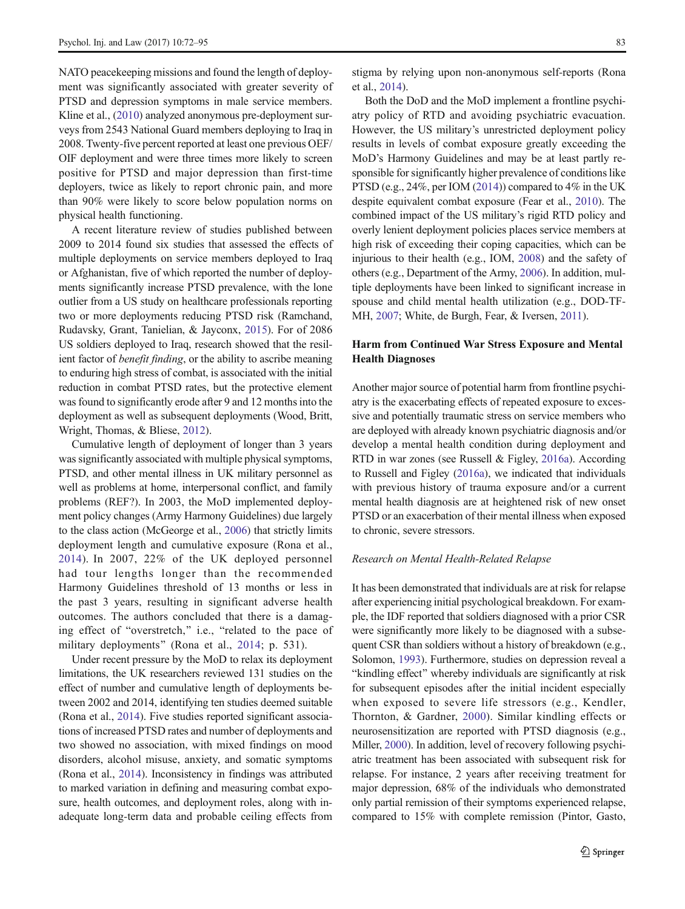NATO peacekeeping missions and found the length of deployment was significantly associated with greater severity of PTSD and depression symptoms in male service members. Kline et al., [\(2010\)](#page-22-0) analyzed anonymous pre-deployment surveys from 2543 National Guard members deploying to Iraq in 2008. Twenty-five percent reported at least one previous OEF/ OIF deployment and were three times more likely to screen positive for PTSD and major depression than first-time deployers, twice as likely to report chronic pain, and more than 90% were likely to score below population norms on physical health functioning.

A recent literature review of studies published between 2009 to 2014 found six studies that assessed the effects of multiple deployments on service members deployed to Iraq or Afghanistan, five of which reported the number of deployments significantly increase PTSD prevalence, with the lone outlier from a US study on healthcare professionals reporting two or more deployments reducing PTSD risk (Ramchand, Rudavsky, Grant, Tanielian, & Jayconx, [2015](#page-22-0)). For of 2086 US soldiers deployed to Iraq, research showed that the resilient factor of benefit finding, or the ability to ascribe meaning to enduring high stress of combat, is associated with the initial reduction in combat PTSD rates, but the protective element was found to significantly erode after 9 and 12 months into the deployment as well as subsequent deployments (Wood, Britt, Wright, Thomas, & Bliese, [2012\)](#page-23-0).

Cumulative length of deployment of longer than 3 years was significantly associated with multiple physical symptoms, PTSD, and other mental illness in UK military personnel as well as problems at home, interpersonal conflict, and family problems (REF?). In 2003, the MoD implemented deployment policy changes (Army Harmony Guidelines) due largely to the class action (McGeorge et al., [2006\)](#page-22-0) that strictly limits deployment length and cumulative exposure (Rona et al., [2014](#page-22-0)). In 2007, 22% of the UK deployed personnel had tour lengths longer than the recommended Harmony Guidelines threshold of 13 months or less in the past 3 years, resulting in significant adverse health outcomes. The authors concluded that there is a damaging effect of "overstretch," i.e., "related to the pace of military deployments" (Rona et al., [2014;](#page-22-0) p. 531).

Under recent pressure by the MoD to relax its deployment limitations, the UK researchers reviewed 131 studies on the effect of number and cumulative length of deployments between 2002 and 2014, identifying ten studies deemed suitable (Rona et al., [2014\)](#page-22-0). Five studies reported significant associations of increased PTSD rates and number of deployments and two showed no association, with mixed findings on mood disorders, alcohol misuse, anxiety, and somatic symptoms (Rona et al., [2014\)](#page-22-0). Inconsistency in findings was attributed to marked variation in defining and measuring combat exposure, health outcomes, and deployment roles, along with inadequate long-term data and probable ceiling effects from stigma by relying upon non-anonymous self-reports (Rona et al., [2014\)](#page-22-0).

Both the DoD and the MoD implement a frontline psychiatry policy of RTD and avoiding psychiatric evacuation. However, the US military's unrestricted deployment policy results in levels of combat exposure greatly exceeding the MoD's Harmony Guidelines and may be at least partly responsible for significantly higher prevalence of conditions like PTSD (e.g., 24%, per IOM [\(2014\)](#page-21-0)) compared to 4% in the UK despite equivalent combat exposure (Fear et al., [2010](#page-21-0)). The combined impact of the US military's rigid RTD policy and overly lenient deployment policies places service members at high risk of exceeding their coping capacities, which can be injurious to their health (e.g., IOM, [2008](#page-21-0)) and the safety of others (e.g., Department of the Army, [2006\)](#page-21-0). In addition, multiple deployments have been linked to significant increase in spouse and child mental health utilization (e.g., DOD-TF-MH, [2007;](#page-21-0) White, de Burgh, Fear, & Iversen, [2011\)](#page-23-0).

# Harm from Continued War Stress Exposure and Mental Health Diagnoses

Another major source of potential harm from frontline psychiatry is the exacerbating effects of repeated exposure to excessive and potentially traumatic stress on service members who are deployed with already known psychiatric diagnosis and/or develop a mental health condition during deployment and RTD in war zones (see Russell & Figley, [2016a\)](#page-22-0). According to Russell and Figley [\(2016a](#page-22-0)), we indicated that individuals with previous history of trauma exposure and/or a current mental health diagnosis are at heightened risk of new onset PTSD or an exacerbation of their mental illness when exposed to chronic, severe stressors.

### Research on Mental Health-Related Relapse

It has been demonstrated that individuals are at risk for relapse after experiencing initial psychological breakdown. For example, the IDF reported that soldiers diagnosed with a prior CSR were significantly more likely to be diagnosed with a subsequent CSR than soldiers without a history of breakdown (e.g., Solomon, [1993](#page-23-0)). Furthermore, studies on depression reveal a "kindling effect" whereby individuals are significantly at risk for subsequent episodes after the initial incident especially when exposed to severe life stressors (e.g., Kendler, Thornton, & Gardner, [2000\)](#page-22-0). Similar kindling effects or neurosensitization are reported with PTSD diagnosis (e.g., Miller, [2000](#page-22-0)). In addition, level of recovery following psychiatric treatment has been associated with subsequent risk for relapse. For instance, 2 years after receiving treatment for major depression, 68% of the individuals who demonstrated only partial remission of their symptoms experienced relapse, compared to 15% with complete remission (Pintor, Gasto,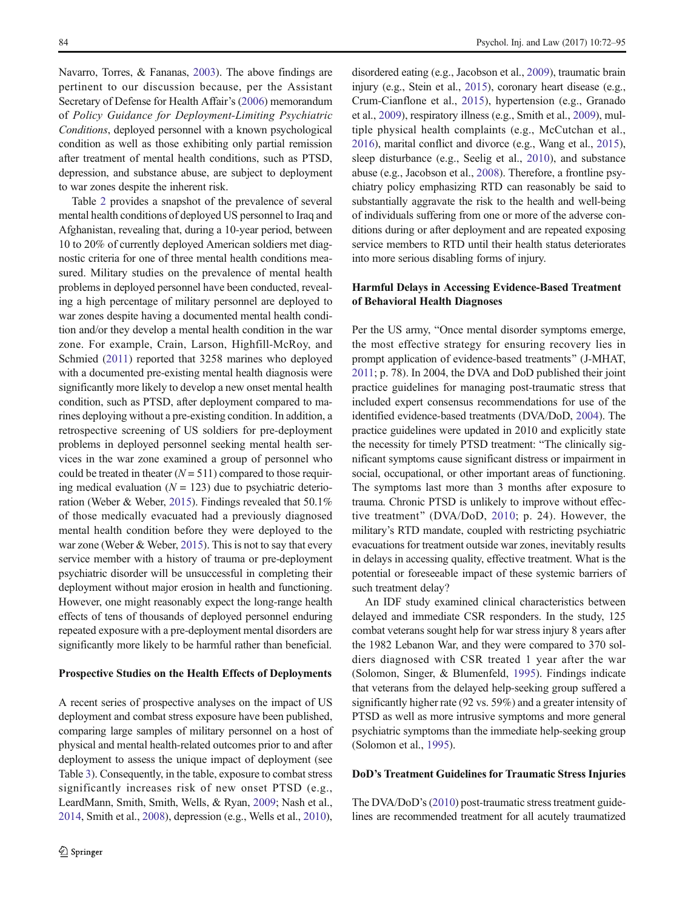Navarro, Torres, & Fananas, [2003\)](#page-22-0). The above findings are pertinent to our discussion because, per the Assistant Secretary of Defense for Health Affair's [\(2006\)](#page-20-0) memorandum of Policy Guidance for Deployment-Limiting Psychiatric Conditions, deployed personnel with a known psychological condition as well as those exhibiting only partial remission after treatment of mental health conditions, such as PTSD, depression, and substance abuse, are subject to deployment to war zones despite the inherent risk.

Table [2](#page-13-0) provides a snapshot of the prevalence of several mental health conditions of deployed US personnel to Iraq and Afghanistan, revealing that, during a 10-year period, between 10 to 20% of currently deployed American soldiers met diagnostic criteria for one of three mental health conditions measured. Military studies on the prevalence of mental health problems in deployed personnel have been conducted, revealing a high percentage of military personnel are deployed to war zones despite having a documented mental health condition and/or they develop a mental health condition in the war zone. For example, Crain, Larson, Highfill-McRoy, and Schmied [\(2011\)](#page-20-0) reported that 3258 marines who deployed with a documented pre-existing mental health diagnosis were significantly more likely to develop a new onset mental health condition, such as PTSD, after deployment compared to marines deploying without a pre-existing condition. In addition, a retrospective screening of US soldiers for pre-deployment problems in deployed personnel seeking mental health services in the war zone examined a group of personnel who could be treated in theater  $(N = 511)$  compared to those requiring medical evaluation  $(N = 123)$  due to psychiatric deterioration (Weber & Weber, [2015\)](#page-23-0). Findings revealed that 50.1% of those medically evacuated had a previously diagnosed mental health condition before they were deployed to the war zone (Weber & Weber, [2015\)](#page-23-0). This is not to say that every service member with a history of trauma or pre-deployment psychiatric disorder will be unsuccessful in completing their deployment without major erosion in health and functioning. However, one might reasonably expect the long-range health effects of tens of thousands of deployed personnel enduring repeated exposure with a pre-deployment mental disorders are significantly more likely to be harmful rather than beneficial.

#### Prospective Studies on the Health Effects of Deployments

A recent series of prospective analyses on the impact of US deployment and combat stress exposure have been published, comparing large samples of military personnel on a host of physical and mental health-related outcomes prior to and after deployment to assess the unique impact of deployment (see Table [3](#page-14-0)). Consequently, in the table, exposure to combat stress significantly increases risk of new onset PTSD (e.g., LeardMann, Smith, Smith, Wells, & Ryan, [2009;](#page-22-0) Nash et al., [2014,](#page-22-0) Smith et al., [2008](#page-23-0)), depression (e.g., Wells et al., [2010\)](#page-23-0),

disordered eating (e.g., Jacobson et al., [2009\)](#page-21-0), traumatic brain injury (e.g., Stein et al., [2015\)](#page-23-0), coronary heart disease (e.g., Crum-Cianflone et al., [2015\)](#page-20-0), hypertension (e.g., Granado et al., [2009](#page-21-0)), respiratory illness (e.g., Smith et al., [2009\)](#page-23-0), multiple physical health complaints (e.g., McCutchan et al., [2016\)](#page-22-0), marital conflict and divorce (e.g., Wang et al., [2015\)](#page-23-0), sleep disturbance (e.g., Seelig et al., [2010](#page-23-0)), and substance abuse (e.g., Jacobson et al., [2008](#page-21-0)). Therefore, a frontline psychiatry policy emphasizing RTD can reasonably be said to substantially aggravate the risk to the health and well-being of individuals suffering from one or more of the adverse conditions during or after deployment and are repeated exposing service members to RTD until their health status deteriorates into more serious disabling forms of injury.

## Harmful Delays in Accessing Evidence-Based Treatment of Behavioral Health Diagnoses

Per the US army, "Once mental disorder symptoms emerge, the most effective strategy for ensuring recovery lies in prompt application of evidence-based treatments^ (J-MHAT, [2011](#page-21-0); p. 78). In 2004, the DVA and DoD published their joint practice guidelines for managing post-traumatic stress that included expert consensus recommendations for use of the identified evidence-based treatments (DVA/DoD, [2004\)](#page-21-0). The practice guidelines were updated in 2010 and explicitly state the necessity for timely PTSD treatment: "The clinically significant symptoms cause significant distress or impairment in social, occupational, or other important areas of functioning. The symptoms last more than 3 months after exposure to trauma. Chronic PTSD is unlikely to improve without effec-tive treatment" (DVA/DoD, [2010](#page-21-0); p. 24). However, the military's RTD mandate, coupled with restricting psychiatric evacuations for treatment outside war zones, inevitably results in delays in accessing quality, effective treatment. What is the potential or foreseeable impact of these systemic barriers of such treatment delay?

An IDF study examined clinical characteristics between delayed and immediate CSR responders. In the study, 125 combat veterans sought help for war stress injury 8 years after the 1982 Lebanon War, and they were compared to 370 soldiers diagnosed with CSR treated 1 year after the war (Solomon, Singer, & Blumenfeld, [1995\)](#page-23-0). Findings indicate that veterans from the delayed help-seeking group suffered a significantly higher rate (92 vs. 59%) and a greater intensity of PTSD as well as more intrusive symptoms and more general psychiatric symptoms than the immediate help-seeking group (Solomon et al., [1995\)](#page-23-0).

### DoD's Treatment Guidelines for Traumatic Stress Injuries

The DVA/DoD's [\(2010\)](#page-21-0) post-traumatic stress treatment guidelines are recommended treatment for all acutely traumatized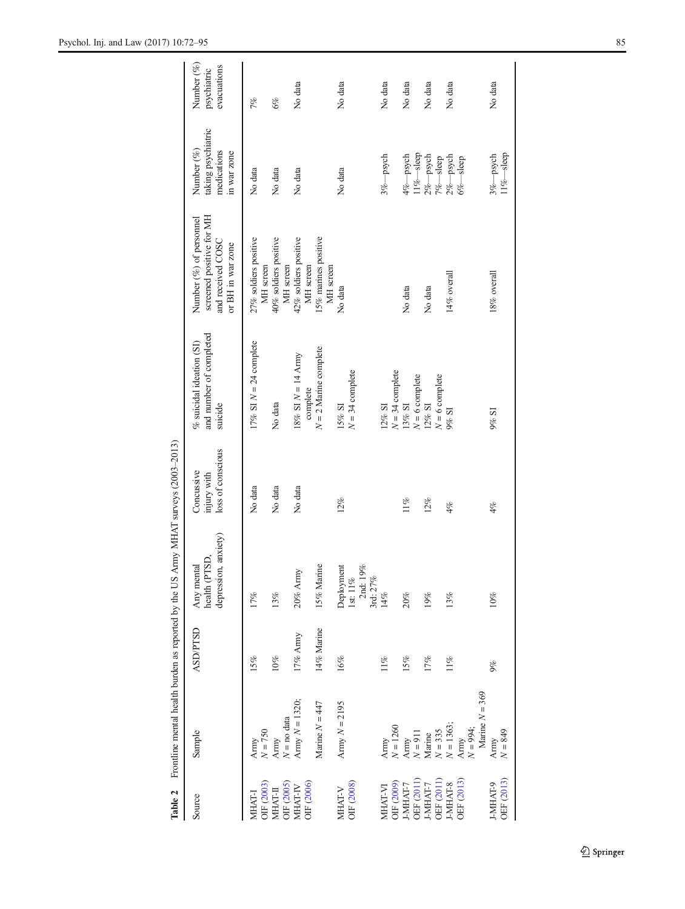<span id="page-13-0"></span>

|                              |                                |             | <b>Table 2</b> Frontline mental health burden as reported by the US Army MHAT surveys $(2003-2013)$ |                                                |                                                                |                                                                                               |                                                                |                                          |
|------------------------------|--------------------------------|-------------|-----------------------------------------------------------------------------------------------------|------------------------------------------------|----------------------------------------------------------------|-----------------------------------------------------------------------------------------------|----------------------------------------------------------------|------------------------------------------|
| Source                       | Sample                         | ASD/PTSD    | depression, anxiety)<br>health (PTSD,<br>Any mental                                                 | loss of conscious<br>Concussive<br>injury with | and number of completed<br>% suicidal ideation (SI)<br>suicide | screened positive for MH<br>Number (%) of personnel<br>and received COSC<br>or BH in war zone | taking psychiatric<br>Number (%)<br>medications<br>in war zone | Number (%)<br>evacuations<br>psychiatric |
| OIF (2003)<br><b>NHAT-I</b>  | $N = 750$<br>Army              | 15%         | 17%                                                                                                 | No data                                        | 17% SI $N = 24$ complete                                       | 27% soldiers positive<br>MH screen                                                            | No data                                                        | 7%                                       |
| OIF (2005)<br><b>MHAT-II</b> | $N =$ no data<br>Amy           | $10\%$      | 13%                                                                                                 | No data                                        | No data                                                        | 40% soldiers positive<br>MH screen                                                            | No data                                                        | 6%                                       |
| OIF (2006)<br><b>MHAT-IV</b> | Army $N = 1320$ ;              | $17\%$ Army | $20\%$ Army                                                                                         | No data                                        | $18\%$ SI $N = 14$ Amy<br>complete                             | 42% soldiers positive<br>MH screen                                                            | No data                                                        | No data                                  |
|                              | Marine $N = 447$               | 14% Marine  | 15% Marine                                                                                          |                                                | $N = 2$ Marine complete                                        | 15% marines positive<br>MH screen                                                             |                                                                |                                          |
| <b>MHAT-V</b>                | Amy $N = 2195$                 | 16%         | Deployment                                                                                          | 12%                                            | $15\%$ SI                                                      | No data                                                                                       | No data                                                        | No data                                  |
| OIF (2008)                   |                                |             | 2nd: 19%<br>1st: 11%                                                                                |                                                | $N = 34$ complete                                              |                                                                                               |                                                                |                                          |
|                              |                                |             | 3rd: 27%                                                                                            |                                                |                                                                |                                                                                               |                                                                |                                          |
| OIF (2009)<br><b>MHAT-VI</b> | $N = 1260$<br>Army             | $11\%$      | 14%                                                                                                 |                                                | $N = 34$ complete<br>$12\%$ SI                                 |                                                                                               | 3%-psych                                                       | No data                                  |
| J-MHAT-7                     | Army                           | 15%         | 20%                                                                                                 | $11\%$                                         | 13% SI                                                         | No data                                                                                       | 4%-psych                                                       | No data                                  |
| <b>OEF (2011)</b>            | $N = 911$                      |             |                                                                                                     |                                                | $N = 6$ complete                                               |                                                                                               | $11\%$ -sleep                                                  |                                          |
| J-MHAT-7                     | Marine                         | 17%         | 19%                                                                                                 | 12%                                            | $12\%$ SI                                                      | No data                                                                                       | $2\%$ -psych                                                   | No data                                  |
| <b>OEF (2011)</b>            | $N = 335$                      |             |                                                                                                     |                                                | $N = 6$ complete                                               |                                                                                               | $7\%$ -sleep                                                   |                                          |
| OEF (2013)<br>J-MHAT-8       | $N = 1363;$<br>Amny            | 11%         | 13%                                                                                                 | 4%                                             | 9% SI                                                          | 14% overall                                                                                   | -psych<br>-sleep<br>$2\%$<br>$6\%$                             | No data                                  |
|                              | Marine $N = 369$<br>$N = 994;$ |             |                                                                                                     |                                                |                                                                |                                                                                               |                                                                |                                          |
| OEF (2013)<br>J-MHAT-9       | $N = 849$<br>Amny              | 9%          | $10\%$                                                                                              | 4%                                             | 9% SI                                                          | 18% overall                                                                                   | $11\%$ -sleep<br>$3%$ -psych                                   | No data                                  |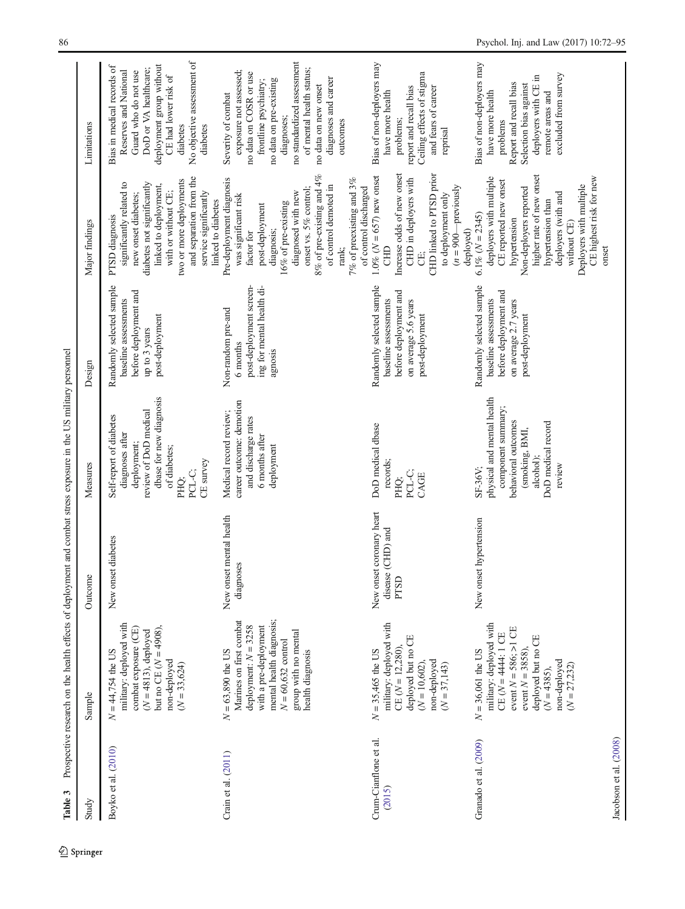<span id="page-14-0"></span>

| Study                           | Sample                                                                                                                                                                                            | Outcome                                               | Measures                                                                                                                                                     | Design                                                                                                               | Major findings                                                                                                                                                                                                                                                                            | Limitations                                                                                                                                                                                                                                                    |
|---------------------------------|---------------------------------------------------------------------------------------------------------------------------------------------------------------------------------------------------|-------------------------------------------------------|--------------------------------------------------------------------------------------------------------------------------------------------------------------|----------------------------------------------------------------------------------------------------------------------|-------------------------------------------------------------------------------------------------------------------------------------------------------------------------------------------------------------------------------------------------------------------------------------------|----------------------------------------------------------------------------------------------------------------------------------------------------------------------------------------------------------------------------------------------------------------|
| Boyko et al. (2010)             | military: deployed with<br>but no CE ( $N = 4908$ ),<br>combat exposure (CE)<br>$(N = 4813)$ , deployed<br>$N = 44,754$ the US<br>non-deployed<br>$(N = 33,624)$                                  | New onset diabetes                                    | dbase for new diagnosis<br>review of DoD medical<br>Self-report of diabetes<br>diagnoses after<br>deployment;<br>of diabetes;<br>CE survey<br>PCL-C;<br>PHQ; | Randomly selected sample<br>before deployment and<br>baseline assessments<br>post-deployment<br>up to 3 years        | and separation from the<br>two or more deployments<br>significantly related to<br>diabetes not significantly<br>linked to deployment,<br>with or without CE;<br>service significantly<br>new onset diabetes;<br>linked to diabetes<br>PTSD diagnosis                                      | No objective assessment of<br>deployment group without<br>Bias in medical records of<br>DoD or VA healthcare;<br>Reserves and National<br>Guard who do not use<br>CE had lower risk of<br>diabetes<br>diabetes                                                 |
| Crain et al. (2011)             | mental health diagnosis;<br>Marines on first combat<br>deployment: $N = 3258$<br>with a pre-deployment<br>group with no mental<br>$N = 60,632$ control<br>$N = 63,890$ the US<br>health diagnosis | New onset mental health<br>diagnoses                  | career outcome: demotion<br>Medical record review;<br>and discharge rates<br>6 months after<br>deployment                                                    | post-deployment screen-<br>ing for mental health di-<br>Non-random pre-and<br>6 months<br>agnosis                    | 8% of pre-existing and 4%<br>7% of preexisting and 3%<br>Pre-deployment diagnosis<br>of control demoted in<br>of control discharged<br>onset vs. 5% control;<br>diagnosed with new<br>was significant risk<br>16% of pre-existing<br>post-deployment<br>diagnosis;<br>factor for<br>rank; | no standardized assessment<br>of mental health status;<br>exposure not assessed;<br>no data on COSR or use<br>diagnoses and career<br>no data on pre-existing<br>frontline psychiatry;<br>no data on new onset<br>Severity of combat<br>diagnoses;<br>outcomes |
| Crum-Cianflone et al.<br>(2015) | military: deployed with<br>deployed but no CE<br>CE $(N = 12,280)$<br>$N = 35,465$ the US<br>non-deployed<br>$(N = 10,602)$ ,<br>$(N = 37,143)$                                                   | New onset coronary heart<br>disease (CHD) and<br>PTSD | DoD medical dbase<br>records<br>PCL-C;<br>CAGE<br>PHQ;                                                                                                       | Randomly selected sample<br>before deployment and<br>baseline assessments<br>on average 5.6 years<br>post-deployment | Increase odds of new onset<br>CHD linked to PTSD prior<br>$1.0\%$ $(N = 657)$ new onset<br>CHD in deployers with<br>$(n = 900$ -previously<br>to deployment only<br>deployed)<br>CHD<br>Ë                                                                                                 | Bias of non-deployers may<br>Ceiling effects of stigma<br>report and recall bias<br>and fears of career<br>have more health<br>problems;<br>reprisal                                                                                                           |
| Granado et al. (2009)           | military: deployed with<br>event $N = 586$ ; >1 CE<br>CE $(N = 4444: 1$ CE<br>deployed but no CE<br>event $N = 3858$ ).<br>$N = 36,061$ the US<br>non-deployed<br>$(N = 27,232)$<br>$(N = 4385),$ | New onset hypertension                                | physical and mental health<br>component summary;<br>behavioral outcomes<br>DoD medical record<br>(smoking, BMI,<br>alcohol);<br>review<br>SF-36V;            | Randomly selected sample<br>before deployment and<br>baseline assessments<br>on average 2.7 years<br>post-deployment | higher rate of new onset<br>CE highest risk for new<br>deployers with multiple<br>CE reported new onset<br>Deployers with multiple<br>Non-deployers reported<br>deployers (with and<br>hypertension than<br>$6.1\% (N = 2345)$<br>hypertension<br>without CE)<br>onset                    | Bias of non-deployers may<br>excluded from survey<br>deployers with CE in<br>Report and recall bias<br>Selection bias against<br>have more health<br>remote areas and<br>problems                                                                              |

Jacobson et al. [\(2008](#page-21-0))

Jacobson et al.  $(2008)$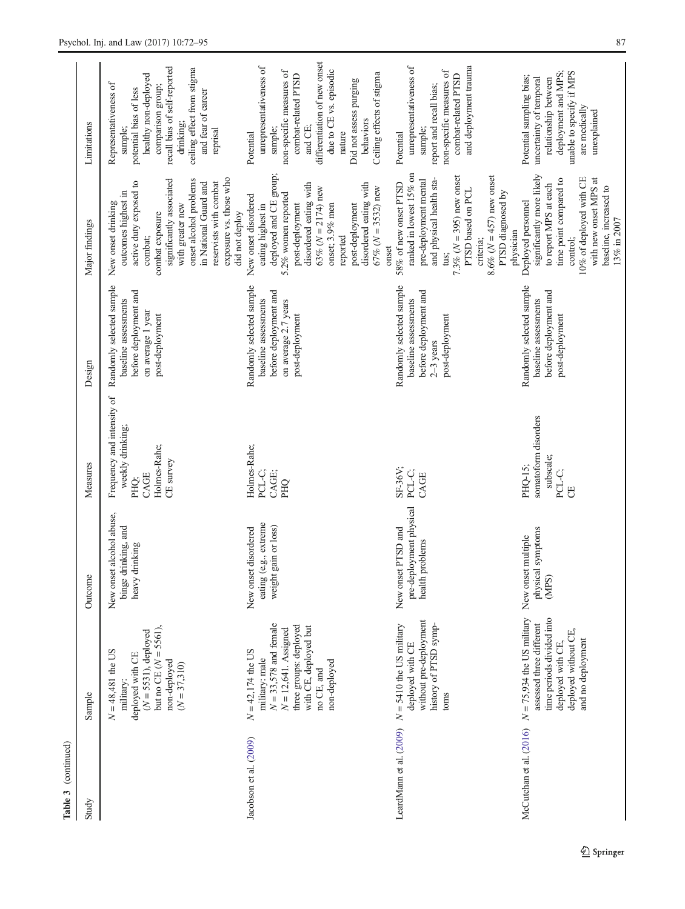| Table 3 (continued)     |                                                                                                                                                                                 |                                                                       |                                                                                             |                                                                                                                      |                                                                                                                                                                                                                                                                            |                                                                                                                                                                                                                                                       |
|-------------------------|---------------------------------------------------------------------------------------------------------------------------------------------------------------------------------|-----------------------------------------------------------------------|---------------------------------------------------------------------------------------------|----------------------------------------------------------------------------------------------------------------------|----------------------------------------------------------------------------------------------------------------------------------------------------------------------------------------------------------------------------------------------------------------------------|-------------------------------------------------------------------------------------------------------------------------------------------------------------------------------------------------------------------------------------------------------|
| Study                   | Sample                                                                                                                                                                          | Outcome                                                               | Measures                                                                                    | Design                                                                                                               | Major findings                                                                                                                                                                                                                                                             | Limitations                                                                                                                                                                                                                                           |
|                         | but no CE $(N = 5561)$ ,<br>$(N = 5531)$ , deployed<br>$N = 48,481$ the US<br>deployed with CE<br>non-deployed<br>$(N = 37,310)$<br>military:                                   | New onset alcohol abuse,<br>binge drinking, and<br>heavy drinking     | Frequency and intensity of<br>weekly drinking;<br>Holmes-Rahe;<br>CE survey<br>CAGE<br>PHQ; | Randomly selected sample<br>before deployment and<br>baseline assessments<br>on average 1 year<br>post-deployment    | exposure vs. those who<br>onset alcohol problems<br>significantly associated<br>active duty exposed to<br>reservists with combat<br>in National Guard and<br>outcomes highest in<br>New onset drinking<br>with greater new<br>combat exposure<br>did not deploy<br>combat; | recall bias of self-reported<br>ceiling effect from stigma<br>healthy non-deployed<br>Representativeness of<br>comparison group;<br>potential bias of less<br>and fear of career<br>drinking;<br>sample;<br>reprisal                                  |
| Jacobson et al. (2009)  | $N = 33,578$ and female<br>three groups: deployed<br>with CE, deployed but<br>$N = 12,641.$ Assigned<br>$N = 42,174$ the US<br>military: male<br>non-deployed<br>no CE, and     | eating (e.g., extreme<br>weight gain or loss)<br>New onset disordered | Holmes-Rahe;<br>PCL-C;<br>CAGE;<br>PHQ                                                      | Randomly selected sample<br>before deployment and<br>baseline assessments<br>on average 2.7 years<br>post-deployment | deployed and CE group;<br>disordered eating with<br>disordered eating with<br>63% ( $N = 2174$ ) new<br>67% ( $N = 3532$ ) new<br>5.2% women reported<br>New onset disordered<br>post-deployment<br>onset; $3.9\%$ men<br>post-deployment<br>eating highest in<br>reported | differentiation of new onset<br>unrepresentativeness of<br>non-specific measures of<br>due to CE vs. episodic<br>Ceiling effects of stigma<br>combat-related PTSD<br>Did not assess purging<br>behaviors<br>and CE;<br>sample;<br>nature<br>Potential |
| LeardMann et al. (2009) | without pre-deployment<br>history of PTSD symp-<br>$N = 5410$ the US military<br>deployed with CE<br>toms                                                                       | pre-deployment physical<br>New onset PTSD and<br>health problems      | SF-36V;<br>PCL-C;<br>CAGE                                                                   | Randomly selected sample<br>before deployment and<br>baseline assessments<br>post-deployment<br>$2-3$ years          | ranked in lowest 15% on<br>8.6% ( $N = 457$ ) new onset<br>7.3% ( $N = 395$ ) new onset<br>and physical health sta-<br>pre-deployment mental<br>58% of new onset PTSD<br>PTSD based on PCL<br>PTSD diagnosed by<br>criteria;<br>onset<br>tus;                              | unrepresentativeness of<br>and deployment trauma<br>non-specific measures of<br>combat-related PTSD<br>report and recall bias;<br>sample;<br>Potential                                                                                                |
|                         | McCutchan et al. (2016) $N = 75,934$ the US military<br>time periods divided into<br>assessed three different<br>deployed without CE,<br>and no deployment<br>deployed with CE, | physical symptoms<br>(MPS)<br>New onset multiple                      | somatoform disorders<br>subscale;<br>PHQ-15;<br>PCL-C;<br>$\overline{C}$                    | Randomly selected sample<br>before deployment and<br>baseline assessments<br>post-deployment                         | significantly more likely<br>10% of deployed with CE<br>with new onset MPS at<br>time point compared to<br>to report MPS at each<br>baseline, increased to<br>Deployed personnel<br>13% in 2007<br>physician<br>control;                                                   | deployment and MPS;<br>unable to specify if MPS<br>Potential sampling bias;<br>relationship between<br>uncertainty of temporal<br>are medically<br>unexplained                                                                                        |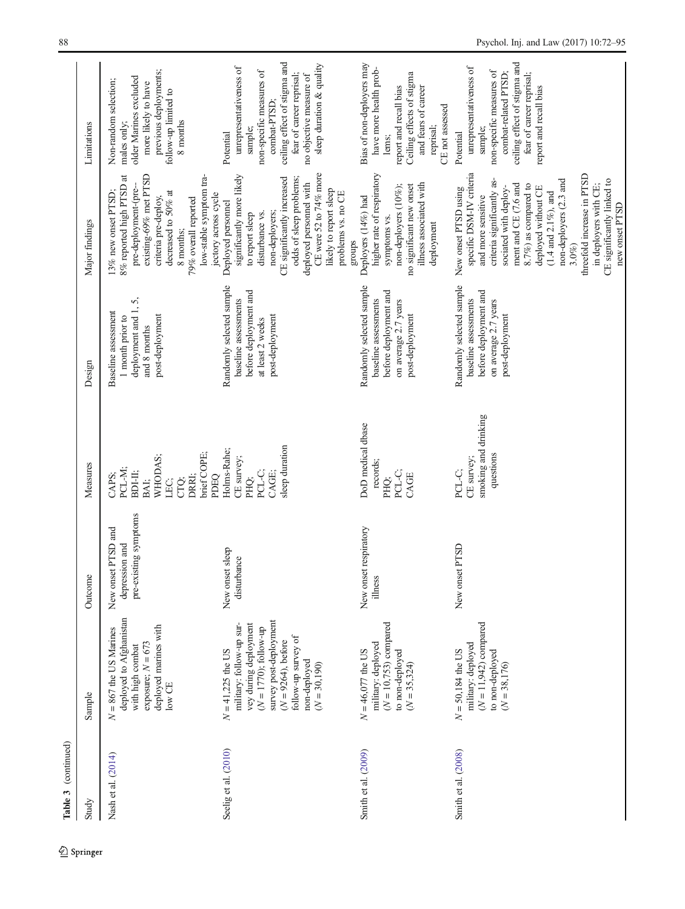| Study                | Sample                                                                                                                                                                                                           | Outcome                                                          | Measures                                                                                      | Design                                                                                                               | Major findings                                                                                                                                                                                                                                                                                                                                                                             | Limitations                                                                                                                                                                                                    |
|----------------------|------------------------------------------------------------------------------------------------------------------------------------------------------------------------------------------------------------------|------------------------------------------------------------------|-----------------------------------------------------------------------------------------------|----------------------------------------------------------------------------------------------------------------------|--------------------------------------------------------------------------------------------------------------------------------------------------------------------------------------------------------------------------------------------------------------------------------------------------------------------------------------------------------------------------------------------|----------------------------------------------------------------------------------------------------------------------------------------------------------------------------------------------------------------|
| Nash et al. (2014)   | deployed to Afghanistan<br>deployed marines with<br>$N = 867$ the US Marines<br>exposure; $N = 673$<br>with high combat<br>$\text{low} \times \text{CE}$                                                         | pre-existing symptoms<br>PTSD and<br>depression and<br>New onset | brief COPE;<br>WHODAS;<br>PCL-M;<br>BDI-II;<br>CAPS;<br>DRRI:<br>PDEQ<br>CTQ;<br>BAI;<br>LEC; | deployment and 1, 5,<br>Baseline assessment<br>post-deployment<br>1 month prior to<br>and 8 months                   | 8% reported high PTSD at<br>existing-69% met PTSD<br>low-stable symptom tra-<br>pre-deployment-(pre--<br>decreased to 50% at<br>jectory across cycle<br>13% new onset PTSD;<br>criteria pre-deploy,<br>79% overall reported<br>8 months;                                                                                                                                                   | previous deployments;<br>older Marines excluded<br>Non-random selection;<br>more likely to have<br>follow-up limited to<br>8 months<br>males only;                                                             |
| Seelig et al. (2010) | survey post-deployment<br>military: follow-up sur-<br>vey during deployment<br>$(N = 1770)$ ; follow-up<br>follow-up survey of<br>$(N = 9264)$ , before<br>$N = 41,225$ the US<br>non-deployed<br>$(N = 30,190)$ | New onset sleep<br>disturbance                                   | sleep duration<br>Holms-Rahe;<br>CE survey;<br>PCL-C;<br>CAGE;<br>PHQ:                        | Randomly selected sample<br>before deployment and<br>baseline assessments<br>post-deployment<br>at least 2 weeks     | CE were 52 to 74% more<br>significantly more likely<br>CE significantly increased<br>odds of sleep problems;<br>deployed personnel with<br>likely to report sleep<br>problems vs. no CE<br>Deployed personnel<br>disturbance vs.<br>non-deployers;<br>to report sleep<br>groups                                                                                                            | ceiling effect of stigma and<br>sleep duration & quality<br>unrepresentativeness of<br>non-specific measures of<br>fear of career reprisal;<br>no objective measure of<br>combat-PTSD;<br>sample;<br>Potential |
| Smith et al. (2009)  | $(N = 10,753)$ compared<br>military: deployed<br>$N = 46,077$ the US<br>to non-deployed<br>$(N = 35,324)$                                                                                                        | respiratory<br>New onset<br>illness                              | DoD medical dbase<br>records;<br>PCL-C;<br>CAGE<br>PHQ;                                       | Randomly selected sample<br>before deployment and<br>baseline assessments<br>on average 2.7 years<br>post-deployment | higher rate of respiratory<br>illness associated with<br>no significant new onset<br>non-deployers (10%);<br>Deployers (14%) had<br>symptoms vs.<br>deployment                                                                                                                                                                                                                             | Bias of non-deployers may<br>have more health prob-<br>Ceiling effects of stigma<br>report and recall bias<br>and fears of career<br>CE not assessed<br>reprisal;<br>lems;                                     |
| Smith et al. (2008)  | $(N = 11,942)$ compared<br>military: deployed<br>$N = 50,184$ the US<br>to non-deployed<br>$(N = 38,176)$                                                                                                        | PTSD<br>New onset                                                | smoking and drinking<br>questions<br>CE survey;<br>PCL-C;                                     | Randomly selected sample<br>before deployment and<br>baseline assessments<br>on average 2.7 years<br>post-deployment | specific DSM-IV criteria<br>threefold increase in PTSD<br>criteria significantly as-<br>CE significantly linked to<br>non-deployers (2.3 and<br>ment and CE $(7.6$ and<br>$8.7\%$ ) as compared to<br>in deployers with CE;<br>sociated with deploy-<br>deployed without CE<br>New onset PTSD using<br>$(1.4 \text{ and } 2.1\%)$ , and<br>and more sensitive<br>new onset PTSD<br>$3.0\%$ | ceiling effect of stigma and<br>unrepresentativeness of<br>non-specific measures of<br>combat-related PTSD;<br>fear of career reprisal;<br>report and recall bias<br>sample;<br>Potential                      |

Table 3 (continued)

Table 3 (continued)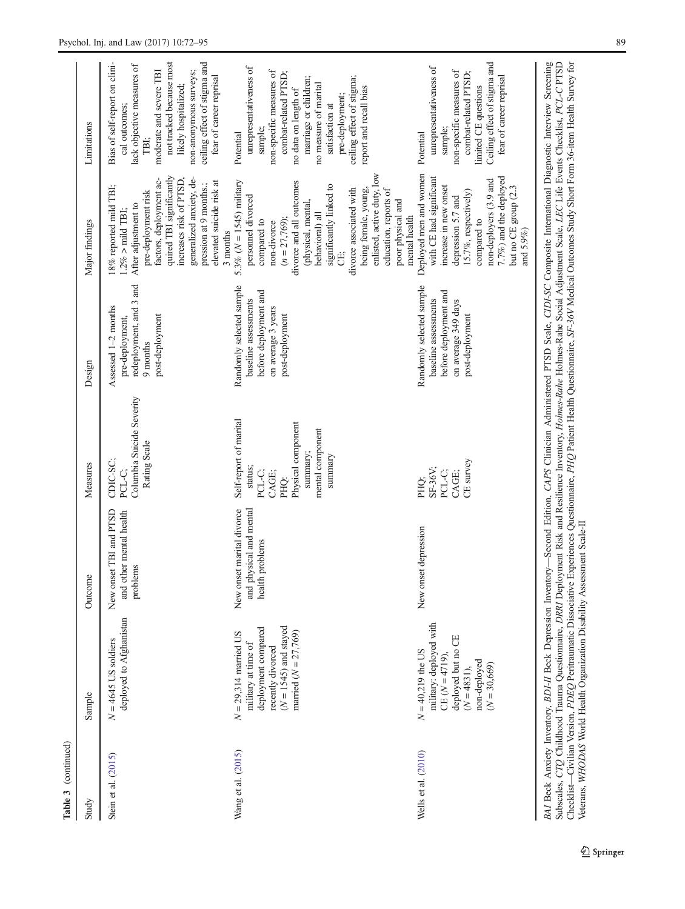| Study               | Sample                                                                                                                                            | Outcome                                                                 | Measures                                                                                                                      | Design                                                                                                              | Major findings                                                                                                                                                                                                                                                                                                                          | Limitations                                                                                                                                                                                                                                                                |
|---------------------|---------------------------------------------------------------------------------------------------------------------------------------------------|-------------------------------------------------------------------------|-------------------------------------------------------------------------------------------------------------------------------|---------------------------------------------------------------------------------------------------------------------|-----------------------------------------------------------------------------------------------------------------------------------------------------------------------------------------------------------------------------------------------------------------------------------------------------------------------------------------|----------------------------------------------------------------------------------------------------------------------------------------------------------------------------------------------------------------------------------------------------------------------------|
| Stein et al. (2015) | deployed to Afghanistan<br>$N = 4645$ US soldiers                                                                                                 | New onset TBI and PTSD<br>and other mental health<br>problems           | Columbia Suicide Severity<br>Rating Scale<br>CDIC-SC:<br>PCL-C;                                                               | redeployment, and 3 and<br>Assessed 1-2 months<br>post-deployment<br>pre-deployment,<br>9 months                    | quired TBI significantly<br>increases risk of PTSD,<br>generalized anxiety, de-<br>factors, deployment ac-<br>elevated suicide risk at<br>pression at 9 months.;<br>18% reported mild TBI;<br>pre-deployment risk<br>After adjustment to<br>$1.2\%$ > mild TBI;<br>3 months                                                             | Bias of self-report on clini-<br>ceiling effect of stigma and<br>not tracked because most<br>lack objective measures of<br>moderate and severe TBI<br>non-anonymous surveys;<br>fear of career reprisal<br>likely hospitalized;<br>cal outcomes;<br>TBI;                   |
| Wang et al. (2015)  | deployment compared<br>$(N = 1545)$ and stayed<br>$N = 29,314$ married US<br>married ( $N = 27,769$ )<br>military at time of<br>recently divorced | New onset marital divorce<br>and physical and mental<br>health problems | Self-report of marital<br>Physical component<br>mental component<br>summary;<br>summary<br>status;<br>PCL-C;<br>CAGE;<br>PHO: | Randomly selected sample<br>before deployment and<br>baseline assessments<br>on average 3 years<br>post-deployment  | enlisted, active duty, low<br>5.3% ( $N = 1545$ ) military<br>divorce and all outcomes<br>significantly linked to<br>being female, young,<br>divorce associated with<br>education, reports of<br>personnel divorced<br>poor physical and<br>(physical, mental,<br>behavioral) all<br>$(n = 27,769);$<br>compared to<br>non-divorce<br>Ë | unrepresentativeness of<br>non-specific measures of<br>combat-related PTSD;<br>ceiling effect of stigma;<br>marriage or children;<br>no measure of marital<br>report and recall bias<br>no data on length of<br>pre-deployment;<br>satisfaction at<br>sample;<br>Potential |
| Wells et al. (2010) | military: deployed with<br>deployed but no CE<br>$N = 40,219$ the US<br>CE ( $N = 4719$ ).<br>non-deployed<br>$(N = 30,669)$<br>$(N = 4831)$ ,    | New onset depression                                                    | CE survey<br>SF-36V;<br>PCL-C;<br>CAGE;<br>PH <sub>O</sub> :                                                                  | Randomly selected sample<br>before deployment and<br>baseline assessments<br>on average 349 days<br>post-deployment | Deployed men and women<br>7.7%) and the deployed<br>with CE had significant<br>non-deployers (3.9 and<br>increase in new onset<br>but no CE group (2.3<br>15.7%, respectively)<br>depression 5.7 and<br>mental health<br>compared to<br>and 5.9%)                                                                                       | Ceiling effect of stigma and<br>unrepresentativeness of<br>non-specific measures of<br>combat-related PTSD;<br>fear of career reprisal<br>limited CE questions<br>sample;<br>Potential                                                                                     |

BAI Beck Anxiety Inventory, BDI-II Beck Depression Inventory—Second Edition, CAPS Clinician Administered PTSD Scale, CIDI-SC Composite International Diagnostic Interview Screening<br>Subscales, CTQ Childhood Trauma Questionna BAI Beck Anxiety Inventory, BDI-II Beck Depression Inventory—Second Edition, CAPS Clinician Administered PTSD Scale, CIDI-SC Composite International Diagnostic Interview Screening Subscales, CTQ Childhood Trauma Questionnaire, DRRI Deployment Risk and Resilience Inventory, Holmes-Rahe Holmes-Rahe Social Adjustment Scale, LEC Life Events Checklist, PCL-C PTSD Checklist—Civilian Version, PDEQ Peritraumatic Dissociative Experiences Questionnaire, PHQ Patient Health Questionnaire, SF-36V Medical Outcomes Study Short Form 36-item Health Survey for Veterans, WHODAS World Health Organization Disability Assessment Scale-II

J.

Table 3 (continued)

Table 3 (continued)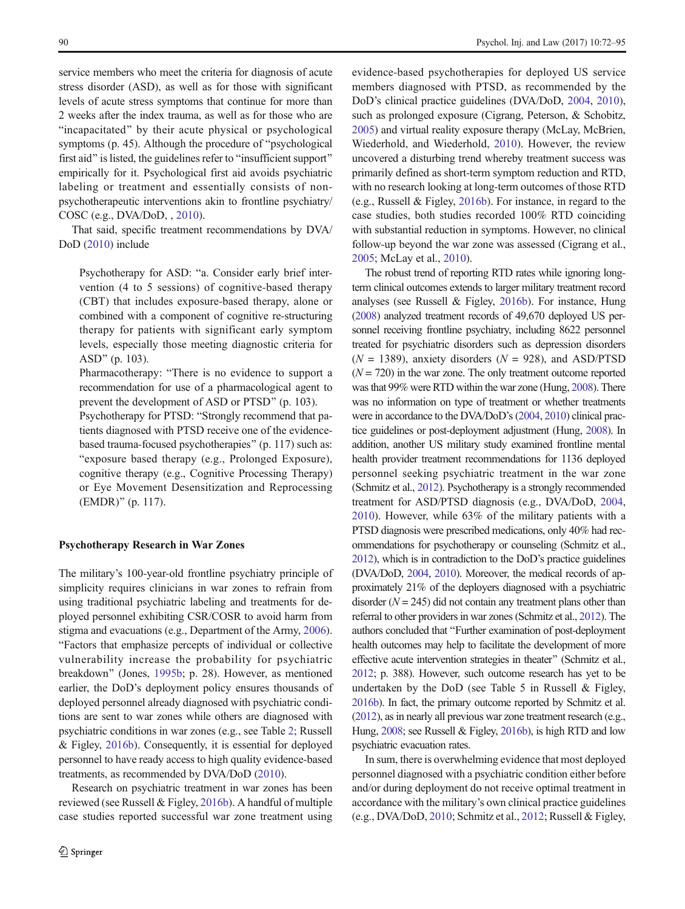service members who meet the criteria for diagnosis of acute stress disorder (ASD), as well as for those with significant levels of acute stress symptoms that continue for more than 2 weeks after the index trauma, as well as for those who are "incapacitated" by their acute physical or psychological symptoms (p. 45). Although the procedure of "psychological first aid" is listed, the guidelines refer to "insufficient support" empirically for it. Psychological first aid avoids psychiatric labeling or treatment and essentially consists of nonpsychotherapeutic interventions akin to frontline psychiatry/ COSC (e.g., DVA/DoD, , [2010\)](#page-21-0).

That said, specific treatment recommendations by DVA/ DoD ([2010](#page-21-0)) include

Psychotherapy for ASD: "a. Consider early brief intervention (4 to 5 sessions) of cognitive-based therapy (CBT) that includes exposure-based therapy, alone or combined with a component of cognitive re-structuring therapy for patients with significant early symptom levels, especially those meeting diagnostic criteria for  $ASD''$  (p. 103).

Pharmacotherapy: "There is no evidence to support a recommendation for use of a pharmacological agent to prevent the development of ASD or PTSD^ (p. 103).

Psychotherapy for PTSD: "Strongly recommend that patients diagnosed with PTSD receive one of the evidencebased trauma-focused psychotherapies" (p. 117) such as: "exposure based therapy (e.g., Prolonged Exposure), cognitive therapy (e.g., Cognitive Processing Therapy) or Eye Movement Desensitization and Reprocessing (EMDR)^ (p. 117).

### Psychotherapy Research in War Zones

The military's 100-year-old frontline psychiatry principle of simplicity requires clinicians in war zones to refrain from using traditional psychiatric labeling and treatments for deployed personnel exhibiting CSR/COSR to avoid harm from stigma and evacuations (e.g., Department of the Army, [2006\)](#page-21-0). "Factors that emphasize percepts of individual or collective vulnerability increase the probability for psychiatric breakdown" (Jones, [1995b](#page-21-0); p. 28). However, as mentioned earlier, the DoD's deployment policy ensures thousands of deployed personnel already diagnosed with psychiatric conditions are sent to war zones while others are diagnosed with psychiatric conditions in war zones (e.g., see Table [2;](#page-13-0) Russell & Figley, [2016b](#page-22-0)). Consequently, it is essential for deployed personnel to have ready access to high quality evidence-based treatments, as recommended by DVA/DoD [\(2010\)](#page-21-0).

Research on psychiatric treatment in war zones has been reviewed (see Russell & Figley, [2016b\)](#page-22-0). A handful of multiple case studies reported successful war zone treatment using evidence-based psychotherapies for deployed US service members diagnosed with PTSD, as recommended by the DoD's clinical practice guidelines (DVA/DoD, [2004](#page-21-0), [2010\)](#page-21-0), such as prolonged exposure (Cigrang, Peterson, & Schobitz, [2005\)](#page-20-0) and virtual reality exposure therapy (McLay, McBrien, Wiederhold, and Wiederhold, [2010\)](#page-22-0). However, the review uncovered a disturbing trend whereby treatment success was primarily defined as short-term symptom reduction and RTD, with no research looking at long-term outcomes of those RTD (e.g., Russell & Figley, [2016b](#page-22-0)). For instance, in regard to the case studies, both studies recorded 100% RTD coinciding with substantial reduction in symptoms. However, no clinical follow-up beyond the war zone was assessed (Cigrang et al., [2005;](#page-20-0) McLay et al., [2010](#page-22-0)).

The robust trend of reporting RTD rates while ignoring longterm clinical outcomes extends to larger military treatment record analyses (see Russell & Figley, [2016b\)](#page-22-0). For instance, Hung [\(2008\)](#page-21-0) analyzed treatment records of 49,670 deployed US personnel receiving frontline psychiatry, including 8622 personnel treated for psychiatric disorders such as depression disorders  $(N = 1389)$ , anxiety disorders  $(N = 928)$ , and ASD/PTSD  $(N = 720)$  in the war zone. The only treatment outcome reported was that 99% were RTD within the war zone (Hung, [2008\)](#page-21-0). There was no information on type of treatment or whether treatments were in accordance to the DVA/DoD's [\(2004,](#page-21-0) [2010](#page-21-0)) clinical practice guidelines or post-deployment adjustment (Hung, [2008](#page-21-0)). In addition, another US military study examined frontline mental health provider treatment recommendations for 1136 deployed personnel seeking psychiatric treatment in the war zone (Schmitz et al., [2012\)](#page-23-0). Psychotherapy is a strongly recommended treatment for ASD/PTSD diagnosis (e.g., DVA/DoD, [2004,](#page-21-0) [2010\)](#page-21-0). However, while 63% of the military patients with a PTSD diagnosis were prescribed medications, only 40% had recommendations for psychotherapy or counseling (Schmitz et al., [2012\)](#page-23-0), which is in contradiction to the DoD's practice guidelines (DVA/DoD, [2004,](#page-21-0) [2010\)](#page-21-0). Moreover, the medical records of approximately 21% of the deployers diagnosed with a psychiatric disorder  $(N = 245)$  did not contain any treatment plans other than referral to other providers in war zones (Schmitz et al., [2012](#page-23-0)). The authors concluded that "Further examination of post-deployment health outcomes may help to facilitate the development of more effective acute intervention strategies in theater^ (Schmitz et al., [2012;](#page-23-0) p. 388). However, such outcome research has yet to be undertaken by the DoD (see Table 5 in Russell & Figley, [2016b](#page-22-0)). In fact, the primary outcome reported by Schmitz et al. [\(2012\)](#page-23-0), as in nearly all previous war zone treatment research (e.g., Hung, [2008](#page-21-0); see Russell & Figley, [2016b\)](#page-22-0), is high RTD and low psychiatric evacuation rates.

In sum, there is overwhelming evidence that most deployed personnel diagnosed with a psychiatric condition either before and/or during deployment do not receive optimal treatment in accordance with the military's own clinical practice guidelines (e.g., DVA/DoD, [2010](#page-21-0); Schmitz et al., [2012](#page-23-0); Russell & Figley,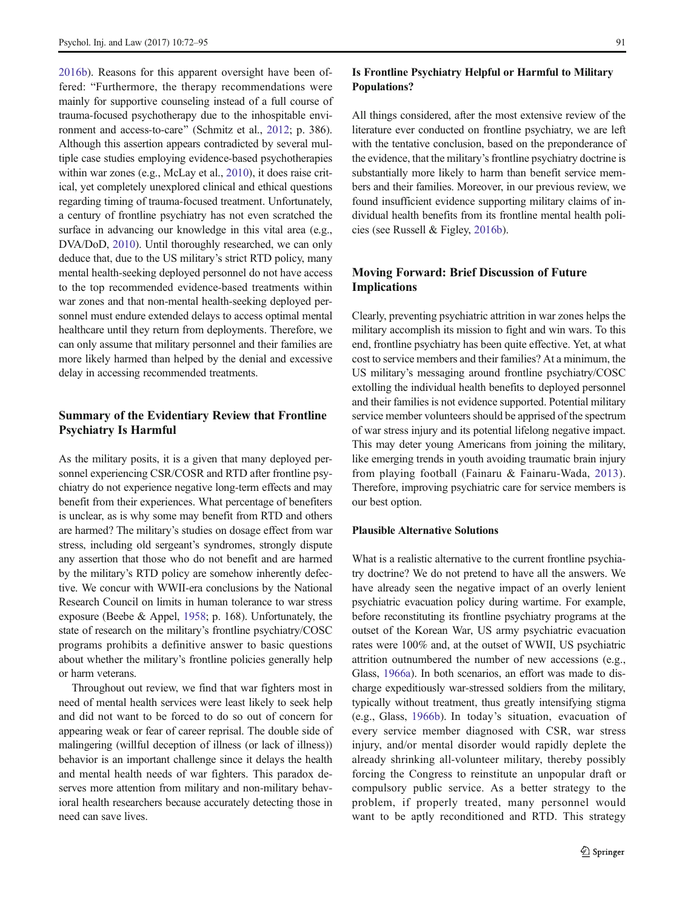[2016b\)](#page-22-0). Reasons for this apparent oversight have been offered: "Furthermore, the therapy recommendations were mainly for supportive counseling instead of a full course of trauma-focused psychotherapy due to the inhospitable envi-ronment and access-to-care" (Schmitz et al., [2012;](#page-23-0) p. 386). Although this assertion appears contradicted by several multiple case studies employing evidence-based psychotherapies within war zones (e.g., McLay et al., [2010](#page-22-0)), it does raise critical, yet completely unexplored clinical and ethical questions regarding timing of trauma-focused treatment. Unfortunately, a century of frontline psychiatry has not even scratched the surface in advancing our knowledge in this vital area (e.g., DVA/DoD, [2010\)](#page-21-0). Until thoroughly researched, we can only deduce that, due to the US military's strict RTD policy, many mental health-seeking deployed personnel do not have access to the top recommended evidence-based treatments within war zones and that non-mental health-seeking deployed personnel must endure extended delays to access optimal mental healthcare until they return from deployments. Therefore, we can only assume that military personnel and their families are more likely harmed than helped by the denial and excessive delay in accessing recommended treatments.

# Summary of the Evidentiary Review that Frontline Psychiatry Is Harmful

As the military posits, it is a given that many deployed personnel experiencing CSR/COSR and RTD after frontline psychiatry do not experience negative long-term effects and may benefit from their experiences. What percentage of benefiters is unclear, as is why some may benefit from RTD and others are harmed? The military's studies on dosage effect from war stress, including old sergeant's syndromes, strongly dispute any assertion that those who do not benefit and are harmed by the military's RTD policy are somehow inherently defective. We concur with WWII-era conclusions by the National Research Council on limits in human tolerance to war stress exposure (Beebe & Appel, [1958;](#page-20-0) p. 168). Unfortunately, the state of research on the military's frontline psychiatry/COSC programs prohibits a definitive answer to basic questions about whether the military's frontline policies generally help or harm veterans.

Throughout out review, we find that war fighters most in need of mental health services were least likely to seek help and did not want to be forced to do so out of concern for appearing weak or fear of career reprisal. The double side of malingering (willful deception of illness (or lack of illness)) behavior is an important challenge since it delays the health and mental health needs of war fighters. This paradox deserves more attention from military and non-military behavioral health researchers because accurately detecting those in need can save lives.

### Is Frontline Psychiatry Helpful or Harmful to Military Populations?

All things considered, after the most extensive review of the literature ever conducted on frontline psychiatry, we are left with the tentative conclusion, based on the preponderance of the evidence, that the military's frontline psychiatry doctrine is substantially more likely to harm than benefit service members and their families. Moreover, in our previous review, we found insufficient evidence supporting military claims of individual health benefits from its frontline mental health policies (see Russell & Figley, [2016b\)](#page-22-0).

# Moving Forward: Brief Discussion of Future Implications

Clearly, preventing psychiatric attrition in war zones helps the military accomplish its mission to fight and win wars. To this end, frontline psychiatry has been quite effective. Yet, at what cost to service members and their families? At a minimum, the US military's messaging around frontline psychiatry/COSC extolling the individual health benefits to deployed personnel and their families is not evidence supported. Potential military service member volunteers should be apprised of the spectrum of war stress injury and its potential lifelong negative impact. This may deter young Americans from joining the military, like emerging trends in youth avoiding traumatic brain injury from playing football (Fainaru & Fainaru-Wada, [2013](#page-21-0)). Therefore, improving psychiatric care for service members is our best option.

### Plausible Alternative Solutions

What is a realistic alternative to the current frontline psychiatry doctrine? We do not pretend to have all the answers. We have already seen the negative impact of an overly lenient psychiatric evacuation policy during wartime. For example, before reconstituting its frontline psychiatry programs at the outset of the Korean War, US army psychiatric evacuation rates were 100% and, at the outset of WWII, US psychiatric attrition outnumbered the number of new accessions (e.g., Glass, [1966a](#page-21-0)). In both scenarios, an effort was made to discharge expeditiously war-stressed soldiers from the military, typically without treatment, thus greatly intensifying stigma (e.g., Glass, [1966b\)](#page-21-0). In today's situation, evacuation of every service member diagnosed with CSR, war stress injury, and/or mental disorder would rapidly deplete the already shrinking all-volunteer military, thereby possibly forcing the Congress to reinstitute an unpopular draft or compulsory public service. As a better strategy to the problem, if properly treated, many personnel would want to be aptly reconditioned and RTD. This strategy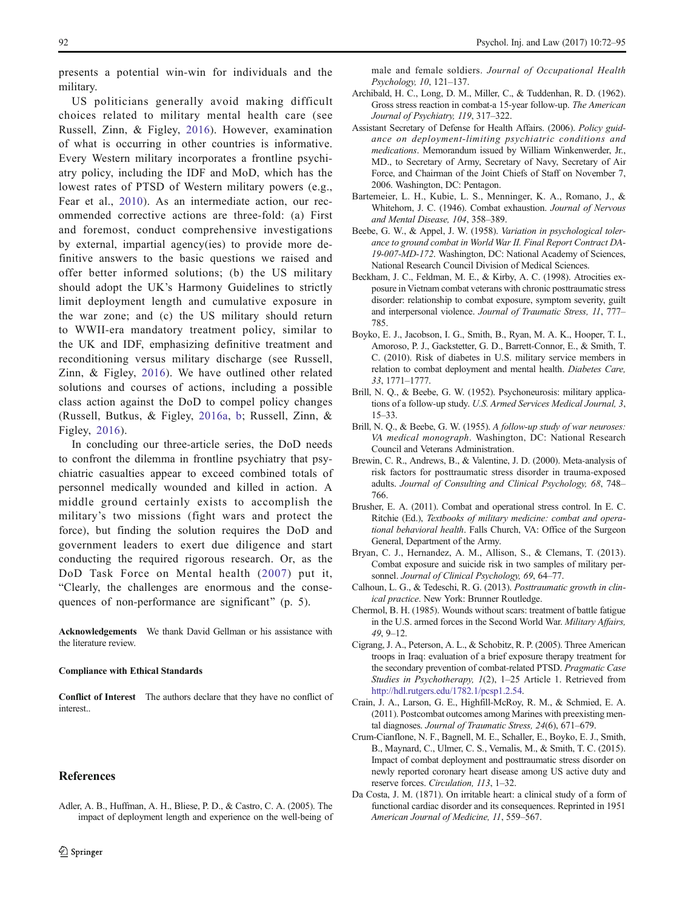<span id="page-20-0"></span>presents a potential win-win for individuals and the military.

US politicians generally avoid making difficult choices related to military mental health care (see Russell, Zinn, & Figley, [2016\)](#page-23-0). However, examination of what is occurring in other countries is informative. Every Western military incorporates a frontline psychiatry policy, including the IDF and MoD, which has the lowest rates of PTSD of Western military powers (e.g., Fear et al., [2010](#page-21-0)). As an intermediate action, our recommended corrective actions are three-fold: (a) First and foremost, conduct comprehensive investigations by external, impartial agency(ies) to provide more definitive answers to the basic questions we raised and offer better informed solutions; (b) the US military should adopt the UK's Harmony Guidelines to strictly limit deployment length and cumulative exposure in the war zone; and (c) the US military should return to WWII-era mandatory treatment policy, similar to the UK and IDF, emphasizing definitive treatment and reconditioning versus military discharge (see Russell, Zinn, & Figley, [2016](#page-23-0)). We have outlined other related solutions and courses of actions, including a possible class action against the DoD to compel policy changes (Russell, Butkus, & Figley, [2016a](#page-22-0), [b](#page-22-0); Russell, Zinn, & Figley, [2016\)](#page-23-0).

In concluding our three-article series, the DoD needs to confront the dilemma in frontline psychiatry that psychiatric casualties appear to exceed combined totals of personnel medically wounded and killed in action. A middle ground certainly exists to accomplish the military's two missions (fight wars and protect the force), but finding the solution requires the DoD and government leaders to exert due diligence and start conducting the required rigorous research. Or, as the DoD Task Force on Mental health ([2007](#page-21-0)) put it, "Clearly, the challenges are enormous and the consequences of non-performance are significant" (p. 5).

Acknowledgements We thank David Gellman or his assistance with the literature review.

#### Compliance with Ethical Standards

Conflict of Interest The authors declare that they have no conflict of interest..

# References

Adler, A. B., Huffman, A. H., Bliese, P. D., & Castro, C. A. (2005). The impact of deployment length and experience on the well-being of male and female soldiers. Journal of Occupational Health Psychology, 10, 121–137.

- Archibald, H. C., Long, D. M., Miller, C., & Tuddenhan, R. D. (1962). Gross stress reaction in combat-a 15-year follow-up. The American Journal of Psychiatry, 119, 317–322.
- Assistant Secretary of Defense for Health Affairs. (2006). Policy guidance on deployment-limiting psychiatric conditions and medications. Memorandum issued by William Winkenwerder, Jr., MD., to Secretary of Army, Secretary of Navy, Secretary of Air Force, and Chairman of the Joint Chiefs of Staff on November 7, 2006. Washington, DC: Pentagon.
- Bartemeier, L. H., Kubie, L. S., Menninger, K. A., Romano, J., & Whitehorn, J. C. (1946). Combat exhaustion. Journal of Nervous and Mental Disease, 104, 358–389.
- Beebe, G. W., & Appel, J. W. (1958). Variation in psychological tolerance to ground combat in World War II. Final Report Contract DA-19-007-MD-172. Washington, DC: National Academy of Sciences, National Research Council Division of Medical Sciences.
- Beckham, J. C., Feldman, M. E., & Kirby, A. C. (1998). Atrocities exposure in Vietnam combat veterans with chronic posttraumatic stress disorder: relationship to combat exposure, symptom severity, guilt and interpersonal violence. Journal of Traumatic Stress, 11, 777– 785.
- Boyko, E. J., Jacobson, I. G., Smith, B., Ryan, M. A. K., Hooper, T. I., Amoroso, P. J., Gackstetter, G. D., Barrett-Connor, E., & Smith, T. C. (2010). Risk of diabetes in U.S. military service members in relation to combat deployment and mental health. Diabetes Care, 33, 1771–1777.
- Brill, N. Q., & Beebe, G. W. (1952). Psychoneurosis: military applications of a follow-up study. U.S. Armed Services Medical Journal, 3, 15–33.
- Brill, N. Q., & Beebe, G. W. (1955). A follow-up study of war neuroses: VA medical monograph. Washington, DC: National Research Council and Veterans Administration.
- Brewin, C. R., Andrews, B., & Valentine, J. D. (2000). Meta-analysis of risk factors for posttraumatic stress disorder in trauma-exposed adults. Journal of Consulting and Clinical Psychology, 68, 748– 766.
- Brusher, E. A. (2011). Combat and operational stress control. In E. C. Ritchie (Ed.), Textbooks of military medicine: combat and operational behavioral health. Falls Church, VA: Office of the Surgeon General, Department of the Army.
- Bryan, C. J., Hernandez, A. M., Allison, S., & Clemans, T. (2013). Combat exposure and suicide risk in two samples of military personnel. Journal of Clinical Psychology, 69, 64–77.
- Calhoun, L. G., & Tedeschi, R. G. (2013). Posttraumatic growth in clinical practice. New York: Brunner Routledge.
- Chermol, B. H. (1985). Wounds without scars: treatment of battle fatigue in the U.S. armed forces in the Second World War. Military Affairs, 49, 9–12.
- Cigrang, J. A., Peterson, A. L., & Schobitz, R. P. (2005). Three American troops in Iraq: evaluation of a brief exposure therapy treatment for the secondary prevention of combat-related PTSD. Pragmatic Case Studies in Psychotherapy, 1(2), 1–25 Article 1. Retrieved from [http://hdl.rutgers.edu/1782.1/pcsp1.2.54.](http://dx.doi.org/http://hdl.rutgers.edu/1782.1/pcsp1.2.54)
- Crain, J. A., Larson, G. E., Highfill-McRoy, R. M., & Schmied, E. A. (2011). Postcombat outcomes among Marines with preexisting mental diagnoses. Journal of Traumatic Stress, 24(6), 671–679.
- Crum-Cianflone, N. F., Bagnell, M. E., Schaller, E., Boyko, E. J., Smith, B., Maynard, C., Ulmer, C. S., Vernalis, M., & Smith, T. C. (2015). Impact of combat deployment and posttraumatic stress disorder on newly reported coronary heart disease among US active duty and reserve forces. Circulation, 113, 1–32.
- Da Costa, J. M. (1871). On irritable heart: a clinical study of a form of functional cardiac disorder and its consequences. Reprinted in 1951 American Journal of Medicine, 11, 559–567.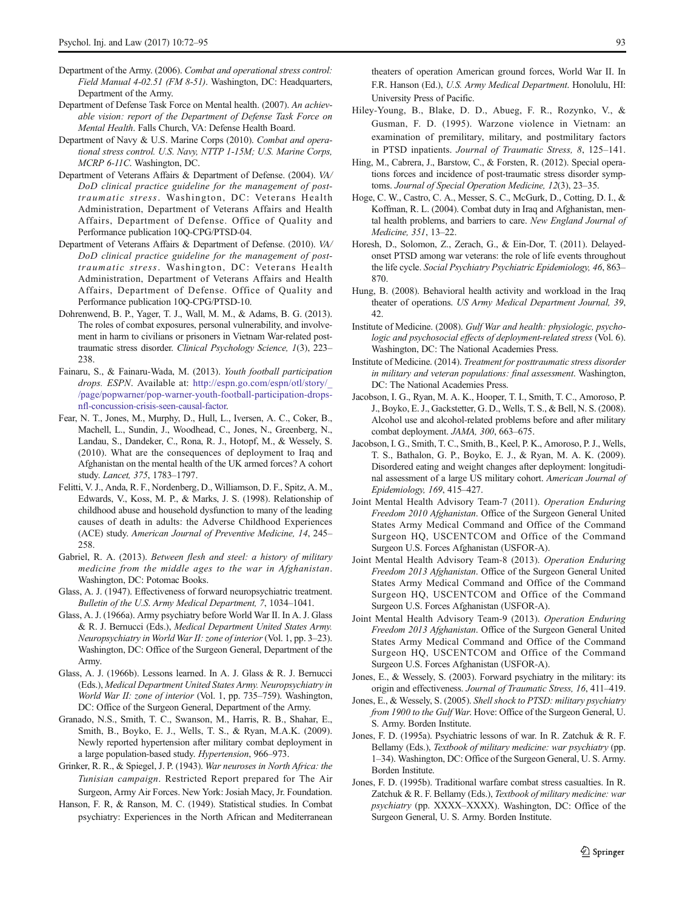- <span id="page-21-0"></span>Department of the Army. (2006). Combat and operational stress control: Field Manual 4-02.51 (FM 8-51). Washington, DC: Headquarters, Department of the Army.
- Department of Defense Task Force on Mental health. (2007). An achievable vision: report of the Department of Defense Task Force on Mental Health. Falls Church, VA: Defense Health Board.
- Department of Navy & U.S. Marine Corps (2010). Combat and operational stress control. U.S. Navy, NTTP 1-15M; U.S. Marine Corps, MCRP 6-11C. Washington, DC.
- Department of Veterans Affairs & Department of Defense. (2004). VA/ DoD clinical practice guideline for the management of posttraumatic stress. Washington, DC: Veterans Health Administration, Department of Veterans Affairs and Health Affairs, Department of Defense. Office of Quality and Performance publication 10Q-CPG/PTSD-04.
- Department of Veterans Affairs & Department of Defense. (2010). VA/ DoD clinical practice guideline for the management of posttraumatic stress. Washington, DC: Veterans Health Administration, Department of Veterans Affairs and Health Affairs, Department of Defense. Office of Quality and Performance publication 10Q-CPG/PTSD-10.
- Dohrenwend, B. P., Yager, T. J., Wall, M. M., & Adams, B. G. (2013). The roles of combat exposures, personal vulnerability, and involvement in harm to civilians or prisoners in Vietnam War-related posttraumatic stress disorder. Clinical Psychology Science, 1(3), 223– 238.
- Fainaru, S., & Fainaru-Wada, M. (2013). Youth football participation drops. ESPN. Available at: [http://espn.go.com/espn/otl/story/\\_](http://dx.doi.org/http://espn.go.com/espn/otl/story/_/page/popwarner/pop-warner-youth-football-participation-drops-nfl-concussion-crisis-seen-causal-factor) [/page/popwarner/pop-warner-youth-football-participation-drops](http://dx.doi.org/http://espn.go.com/espn/otl/story/_/page/popwarner/pop-warner-youth-football-participation-drops-nfl-concussion-crisis-seen-causal-factor)[nfl-concussion-crisis-seen-causal-factor.](http://dx.doi.org/http://espn.go.com/espn/otl/story/_/page/popwarner/pop-warner-youth-football-participation-drops-nfl-concussion-crisis-seen-causal-factor)
- Fear, N. T., Jones, M., Murphy, D., Hull, L., Iversen, A. C., Coker, B., Machell, L., Sundin, J., Woodhead, C., Jones, N., Greenberg, N., Landau, S., Dandeker, C., Rona, R. J., Hotopf, M., & Wessely, S. (2010). What are the consequences of deployment to Iraq and Afghanistan on the mental health of the UK armed forces? A cohort study. Lancet, 375, 1783–1797.
- Felitti, V. J., Anda, R. F., Nordenberg, D., Williamson, D. F., Spitz, A. M., Edwards, V., Koss, M. P., & Marks, J. S. (1998). Relationship of childhood abuse and household dysfunction to many of the leading causes of death in adults: the Adverse Childhood Experiences (ACE) study. American Journal of Preventive Medicine, 14, 245– 258.
- Gabriel, R. A. (2013). Between flesh and steel: a history of military medicine from the middle ages to the war in Afghanistan. Washington, DC: Potomac Books.
- Glass, A. J. (1947). Effectiveness of forward neuropsychiatric treatment. Bulletin of the U.S. Army Medical Department, 7, 1034–1041.
- Glass, A. J. (1966a). Army psychiatry before World War II. In A. J. Glass & R. J. Bernucci (Eds.), Medical Department United States Army. Neuropsychiatry in World War II: zone of interior (Vol. 1, pp. 3–23). Washington, DC: Office of the Surgeon General, Department of the Army.
- Glass, A. J. (1966b). Lessons learned. In A. J. Glass & R. J. Bernucci (Eds.), Medical Department United States Army. Neuropsychiatry in World War II: zone of interior (Vol. 1, pp. 735–759). Washington, DC: Office of the Surgeon General, Department of the Army.
- Granado, N.S., Smith, T. C., Swanson, M., Harris, R. B., Shahar, E., Smith, B., Boyko, E. J., Wells, T. S., & Ryan, M.A.K. (2009). Newly reported hypertension after military combat deployment in a large population-based study. Hypertension, 966–973.
- Grinker, R. R., & Spiegel, J. P. (1943). War neuroses in North Africa: the Tunisian campaign. Restricted Report prepared for The Air Surgeon, Army Air Forces. New York: Josiah Macy, Jr. Foundation.
- Hanson, F. R, & Ranson, M. C. (1949). Statistical studies. In Combat psychiatry: Experiences in the North African and Mediterranean

theaters of operation American ground forces, World War II. In F.R. Hanson (Ed.), U.S. Army Medical Department. Honolulu, HI: University Press of Pacific.

- Hiley-Young, B., Blake, D. D., Abueg, F. R., Rozynko, V., & Gusman, F. D. (1995). Warzone violence in Vietnam: an examination of premilitary, military, and postmilitary factors in PTSD inpatients. Journal of Traumatic Stress, 8, 125–141.
- Hing, M., Cabrera, J., Barstow, C., & Forsten, R. (2012). Special operations forces and incidence of post-traumatic stress disorder symptoms. Journal of Special Operation Medicine, 12(3), 23–35.
- Hoge, C. W., Castro, C. A., Messer, S. C., McGurk, D., Cotting, D. I., & Koffman, R. L. (2004). Combat duty in Iraq and Afghanistan, mental health problems, and barriers to care. New England Journal of Medicine, 351, 13–22.
- Horesh, D., Solomon, Z., Zerach, G., & Ein-Dor, T. (2011). Delayedonset PTSD among war veterans: the role of life events throughout the life cycle. Social Psychiatry Psychiatric Epidemiology, 46, 863-870.
- Hung, B. (2008). Behavioral health activity and workload in the Iraq theater of operations. US Army Medical Department Journal, 39, 42.
- Institute of Medicine. (2008). Gulf War and health: physiologic, psychologic and psychosocial effects of deployment-related stress (Vol. 6). Washington, DC: The National Academies Press.
- Institute of Medicine. (2014). Treatment for posttraumatic stress disorder in military and veteran populations: final assessment. Washington, DC: The National Academies Press.
- Jacobson, I. G., Ryan, M. A. K., Hooper, T. I., Smith, T. C., Amoroso, P. J., Boyko, E. J., Gackstetter, G. D., Wells, T. S., & Bell, N. S. (2008). Alcohol use and alcohol-related problems before and after military combat deployment. JAMA, 300, 663–675.
- Jacobson, I. G., Smith, T. C., Smith, B., Keel, P. K., Amoroso, P. J., Wells, T. S., Bathalon, G. P., Boyko, E. J., & Ryan, M. A. K. (2009). Disordered eating and weight changes after deployment: longitudinal assessment of a large US military cohort. American Journal of Epidemiology, 169, 415–427.
- Joint Mental Health Advisory Team-7 (2011). Operation Enduring Freedom 2010 Afghanistan. Office of the Surgeon General United States Army Medical Command and Office of the Command Surgeon HQ, USCENTCOM and Office of the Command Surgeon U.S. Forces Afghanistan (USFOR-A).
- Joint Mental Health Advisory Team-8 (2013). Operation Enduring Freedom 2013 Afghanistan. Office of the Surgeon General United States Army Medical Command and Office of the Command Surgeon HQ, USCENTCOM and Office of the Command Surgeon U.S. Forces Afghanistan (USFOR-A).
- Joint Mental Health Advisory Team-9 (2013). Operation Enduring Freedom 2013 Afghanistan. Office of the Surgeon General United States Army Medical Command and Office of the Command Surgeon HQ, USCENTCOM and Office of the Command Surgeon U.S. Forces Afghanistan (USFOR-A).
- Jones, E., & Wessely, S. (2003). Forward psychiatry in the military: its origin and effectiveness. Journal of Traumatic Stress, 16, 411–419.
- Jones, E., & Wessely, S. (2005). Shell shock to PTSD: military psychiatry from 1900 to the Gulf War. Hove: Office of the Surgeon General, U. S. Army. Borden Institute.
- Jones, F. D. (1995a). Psychiatric lessons of war. In R. Zatchuk & R. F. Bellamy (Eds.), Textbook of military medicine: war psychiatry (pp. 1–34). Washington, DC: Office of the Surgeon General, U. S. Army. Borden Institute.
- Jones, F. D. (1995b). Traditional warfare combat stress casualties. In R. Zatchuk & R. F. Bellamy (Eds.), Textbook of military medicine: war psychiatry (pp. XXXX–XXXX). Washington, DC: Office of the Surgeon General, U. S. Army. Borden Institute.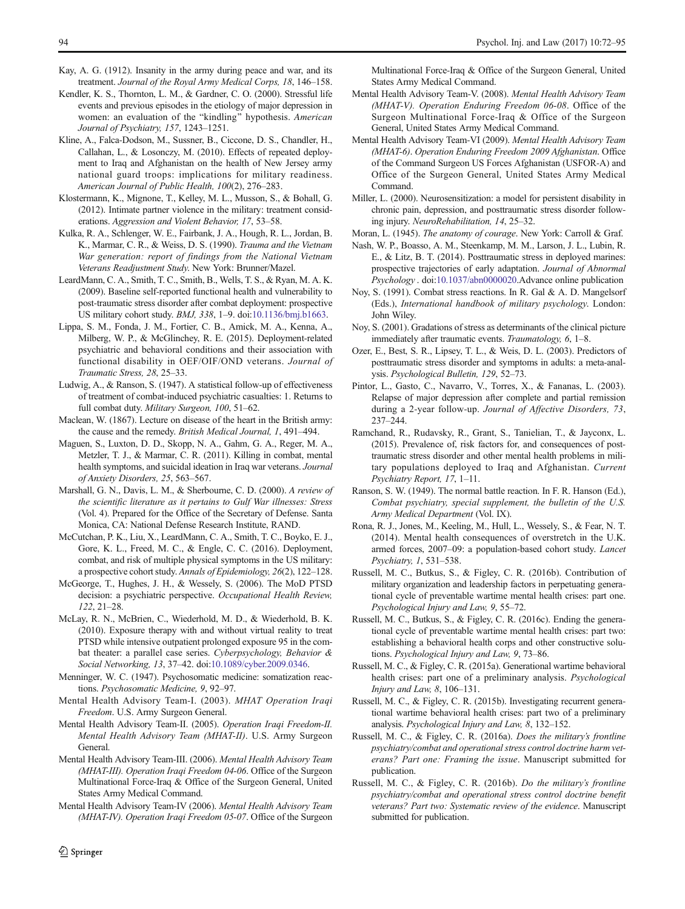- <span id="page-22-0"></span>Kay, A. G. (1912). Insanity in the army during peace and war, and its treatment. Journal of the Royal Army Medical Corps, 18, 146–158.
- Kendler, K. S., Thornton, L. M., & Gardner, C. O. (2000). Stressful life events and previous episodes in the etiology of major depression in women: an evaluation of the "kindling" hypothesis. American Journal of Psychiatry, 157, 1243–1251.
- Kline, A., Falca-Dodson, M., Sussner, B., Ciccone, D. S., Chandler, H., Callahan, L., & Losonczy, M. (2010). Effects of repeated deployment to Iraq and Afghanistan on the health of New Jersey army national guard troops: implications for military readiness. American Journal of Public Health, 100(2), 276–283.
- Klostermann, K., Mignone, T., Kelley, M. L., Musson, S., & Bohall, G. (2012). Intimate partner violence in the military: treatment considerations. Aggression and Violent Behavior, 17, 53–58.
- Kulka, R. A., Schlenger, W. E., Fairbank, J. A., Hough, R. L., Jordan, B. K., Marmar, C. R., & Weiss, D. S. (1990). Trauma and the Vietnam War generation: report of findings from the National Vietnam Veterans Readjustment Study. New York: Brunner/Mazel.
- LeardMann, C. A., Smith, T. C., Smith, B., Wells, T. S., & Ryan, M. A. K. (2009). Baseline self-reported functional health and vulnerability to post-traumatic stress disorder after combat deployment: prospective US military cohort study. BMJ, 338, 1–9. doi[:10.1136/bmj.b1663](http://dx.doi.org/10.1136/bmj.b1663).
- Lippa, S. M., Fonda, J. M., Fortier, C. B., Amick, M. A., Kenna, A., Milberg, W. P., & McGlinchey, R. E. (2015). Deployment-related psychiatric and behavioral conditions and their association with functional disability in OEF/OIF/OND veterans. Journal of Traumatic Stress, 28, 25–33.
- Ludwig, A., & Ranson, S. (1947). A statistical follow-up of effectiveness of treatment of combat-induced psychiatric casualties: 1. Returns to full combat duty. Military Surgeon, 100, 51–62.
- Maclean, W. (1867). Lecture on disease of the heart in the British army: the cause and the remedy. British Medical Journal, 1, 491–494.
- Maguen, S., Luxton, D. D., Skopp, N. A., Gahm, G. A., Reger, M. A., Metzler, T. J., & Marmar, C. R. (2011). Killing in combat, mental health symptoms, and suicidal ideation in Iraq war veterans. Journal of Anxiety Disorders, 25, 563–567.
- Marshall, G. N., Davis, L. M., & Sherbourne, C. D. (2000). A review of the scientific literature as it pertains to Gulf War illnesses: Stress (Vol. 4). Prepared for the Office of the Secretary of Defense. Santa Monica, CA: National Defense Research Institute, RAND.
- McCutchan, P. K., Liu, X., LeardMann, C. A., Smith, T. C., Boyko, E. J., Gore, K. L., Freed, M. C., & Engle, C. C. (2016). Deployment, combat, and risk of multiple physical symptoms in the US military: a prospective cohort study. Annals of Epidemiology, 26(2), 122–128.
- McGeorge, T., Hughes, J. H., & Wessely, S. (2006). The MoD PTSD decision: a psychiatric perspective. Occupational Health Review, 122, 21–28.
- McLay, R. N., McBrien, C., Wiederhold, M. D., & Wiederhold, B. K. (2010). Exposure therapy with and without virtual reality to treat PTSD while intensive outpatient prolonged exposure 95 in the combat theater: a parallel case series. Cyberpsychology, Behavior & Social Networking, 13, 37–42. doi[:10.1089/cyber.2009.0346](http://dx.doi.org/10.1089/cyber.2009.0346).
- Menninger, W. C. (1947). Psychosomatic medicine: somatization reactions. Psychosomatic Medicine, 9, 92–97.
- Mental Health Advisory Team-I. (2003). MHAT Operation Iraqi Freedom. U.S. Army Surgeon General.
- Mental Health Advisory Team-II. (2005). Operation Iraqi Freedom-II. Mental Health Advisory Team (MHAT-II). U.S. Army Surgeon General.
- Mental Health Advisory Team-III. (2006). Mental Health Advisory Team (MHAT-III). Operation Iraqi Freedom 04-06. Office of the Surgeon Multinational Force-Iraq & Office of the Surgeon General, United States Army Medical Command.
- Mental Health Advisory Team-IV (2006). Mental Health Advisory Team (MHAT-IV). Operation Iraqi Freedom 05-07. Office of the Surgeon

 $\hat{Z}$  Springer

Multinational Force-Iraq & Office of the Surgeon General, United States Army Medical Command.

- Mental Health Advisory Team-V. (2008). Mental Health Advisory Team (MHAT-V). Operation Enduring Freedom 06-08. Office of the Surgeon Multinational Force-Iraq & Office of the Surgeon General, United States Army Medical Command.
- Mental Health Advisory Team-VI (2009). Mental Health Advisory Team (MHAT-6). Operation Enduring Freedom 2009 Afghanistan. Office of the Command Surgeon US Forces Afghanistan (USFOR-A) and Office of the Surgeon General, United States Army Medical Command.
- Miller, L. (2000). Neurosensitization: a model for persistent disability in chronic pain, depression, and posttraumatic stress disorder following injury. NeuroRehabilitation, 14, 25–32.
- Moran, L. (1945). The anatomy of courage. New York: Carroll & Graf.
- Nash, W. P., Boasso, A. M., Steenkamp, M. M., Larson, J. L., Lubin, R. E., & Litz, B. T. (2014). Posttraumatic stress in deployed marines: prospective trajectories of early adaptation. Journal of Abnormal Psychology . doi:[10.1037/abn0000020](http://dx.doi.org/10.1037/abn0000020).Advance online publication
- Noy, S. (1991). Combat stress reactions. In R. Gal & A. D. Mangelsorf (Eds.), International handbook of military psychology. London: John Wiley.
- Noy, S. (2001). Gradations of stress as determinants of the clinical picture immediately after traumatic events. Traumatology, 6, 1–8.
- Ozer, E., Best, S. R., Lipsey, T. L., & Weis, D. L. (2003). Predictors of posttraumatic stress disorder and symptoms in adults: a meta-analysis. Psychological Bulletin, 129, 52–73.
- Pintor, L., Gasto, C., Navarro, V., Torres, X., & Fananas, L. (2003). Relapse of major depression after complete and partial remission during a 2-year follow-up. Journal of Affective Disorders, 73, 237–244.
- Ramchand, R., Rudavsky, R., Grant, S., Tanielian, T., & Jayconx, L. (2015). Prevalence of, risk factors for, and consequences of posttraumatic stress disorder and other mental health problems in military populations deployed to Iraq and Afghanistan. Current Psychiatry Report, 17, 1–11.
- Ranson, S. W. (1949). The normal battle reaction. In F. R. Hanson (Ed.), Combat psychiatry, special supplement, the bulletin of the U.S. Army Medical Department (Vol. IX).
- Rona, R. J., Jones, M., Keeling, M., Hull, L., Wessely, S., & Fear, N. T. (2014). Mental health consequences of overstretch in the U.K. armed forces, 2007–09: a population-based cohort study. Lancet Psychiatry, 1, 531–538.
- Russell, M. C., Butkus, S., & Figley, C. R. (2016b). Contribution of military organization and leadership factors in perpetuating generational cycle of preventable wartime mental health crises: part one. Psychological Injury and Law, 9, 55–72.
- Russell, M. C., Butkus, S., & Figley, C. R. (2016c). Ending the generational cycle of preventable wartime mental health crises: part two: establishing a behavioral health corps and other constructive solutions. Psychological Injury and Law, 9, 73–86.
- Russell, M. C., & Figley, C. R. (2015a). Generational wartime behavioral health crises: part one of a preliminary analysis. Psychological Injury and Law, 8, 106–131.
- Russell, M. C., & Figley, C. R. (2015b). Investigating recurrent generational wartime behavioral health crises: part two of a preliminary analysis. Psychological Injury and Law, 8, 132–152.
- Russell, M. C., & Figley, C. R. (2016a). Does the military's frontline psychiatry/combat and operational stress control doctrine harm veterans? Part one: Framing the issue. Manuscript submitted for publication.
- Russell, M. C., & Figley, C. R. (2016b). Do the military's frontline psychiatry/combat and operational stress control doctrine benefit veterans? Part two: Systematic review of the evidence. Manuscript submitted for publication.